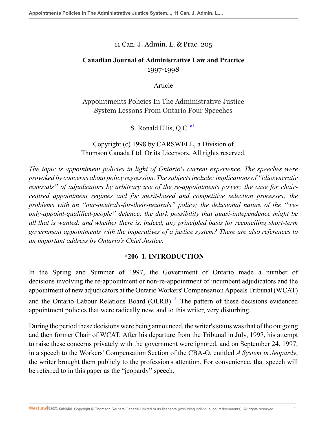#### 11 Can. J. Admin. L. & Prac. 205

## **Canadian Journal of Administrative Law and Practice** 1997-1998

<span id="page-0-0"></span>Article

Appointments Policies In The Administrative Justice System Lessons From Ontario Four Speeches

S. Ronald Ellis, O.C.<sup>[a1](#page-45-0)</sup>

Copyright (c) 1998 by CARSWELL, a Division of Thomson Canada Ltd. Or its Licensors. All rights reserved.

*The topic is appointment policies in light of Ontario's current experience. The speeches were provoked by concerns about policy regression. The subjects include: implications of "idiosyncratic removals" of adjudicators by arbitrary use of the re-appointments power; the case for chaircentred appointment regimes and for merit-based and competitive selection processes; the problems with an "our-neutrals-for-their-neutrals" policy; the delusional nature of the "weonly-appoint-qualified-people" defence; the dark possibility that quasi-independence might be all that is wanted; and whether there is, indeed, any principled basis for reconciling short-term government appointments with the imperatives of a justice system? There are also references to an important address by Ontario's Chief Justice*.

## <span id="page-0-1"></span>**\*206 1. INTRODUCTION**

In the Spring and Summer of 1997, the Government of Ontario made a number of decisions involving the re-appointment or non-re-appointment of incumbent adjudicators and the appointment of new adjudicators at the Ontario Workers' Compensation Appeals Tribunal (WCAT) and the Ontario Labour Relations Board (OLRB).  $\frac{1}{1}$  $\frac{1}{1}$  $\frac{1}{1}$  The pattern of these decisions evidenced appointment policies that were radically new, and to this writer, very disturbing.

During the period these decisions were being announced, the writer's status was that of the outgoing and then former Chair of WCAT. After his departure from the Tribunal in July, 1997, his attempt to raise these concerns privately with the government were ignored, and on September 24, 1997, in a speech to the Workers' Compensation Section of the CBA-O, entitled *A System in Jeopardy*, the writer brought them publicly to the profession's attention. For convenience, that speech will be referred to in this paper as the "jeopardy" speech.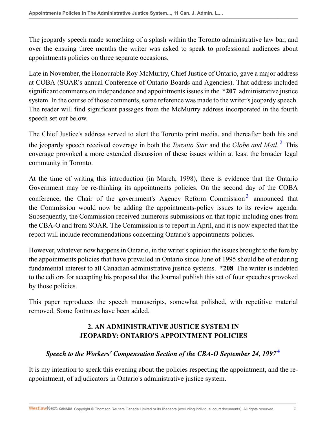The jeopardy speech made something of a splash within the Toronto administrative law bar, and over the ensuing three months the writer was asked to speak to professional audiences about appointments policies on three separate occasions.

Late in November, the Honourable Roy McMurtry, Chief Justice of Ontario, gave a major address at COBA (SOAR's annual Conference of Ontario Boards and Agencies). That address included significant comments on independence and appointments issues in the **\*207** administrative justice system. In the course of those comments, some reference was made to the writer's jeopardy speech. The reader will find significant passages from the McMurtry address incorporated in the fourth speech set out below.

<span id="page-1-0"></span>The Chief Justice's address served to alert the Toronto print media, and thereafter both his and the jeopardy speech received coverage in both the *Toronto Star* and the *Globe and Mail*. [2](#page-45-2) This coverage provoked a more extended discussion of these issues within at least the broader legal community in Toronto.

At the time of writing this introduction (in March, 1998), there is evidence that the Ontario Government may be re-thinking its appointments policies. On the second day of the COBA conference, the Chair of the government's Agency Reform Commission<sup>[3](#page-45-3)</sup> announced that the Commission would now be adding the appointments-policy issues to its review agenda. Subsequently, the Commission received numerous submissions on that topic including ones from the CBA-O and from SOAR. The Commission is to report in April, and it is now expected that the report will include recommendations concerning Ontario's appointments policies.

However, whatever now happens in Ontario, in the writer's opinion the issues brought to the fore by the appointments policies that have prevailed in Ontario since June of 1995 should be of enduring fundamental interest to all Canadian administrative justice systems. **\*208** The writer is indebted to the editors for accepting his proposal that the Journal publish this set of four speeches provoked by those policies.

This paper reproduces the speech manuscripts, somewhat polished, with repetitive material removed. Some footnotes have been added.

# <span id="page-1-2"></span><span id="page-1-1"></span>**2. AN ADMINISTRATIVE JUSTICE SYSTEM IN JEOPARDY: ONTARIO'S APPOINTMENT POLICIES**

## *Speech to the Workers' Compensation Section of the CBA-O September 24, 1997* **[4](#page-45-4)**

It is my intention to speak this evening about the policies respecting the appointment, and the reappointment, of adjudicators in Ontario's administrative justice system.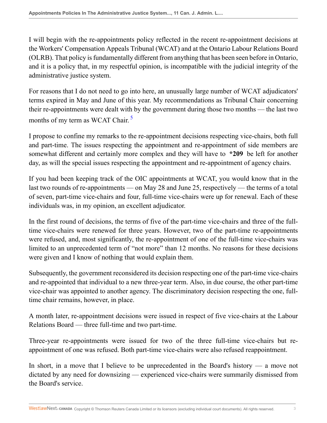I will begin with the re-appointments policy reflected in the recent re-appointment decisions at the Workers' Compensation Appeals Tribunal (WCAT) and at the Ontario Labour Relations Board (OLRB). That policy is fundamentally different from anything that has been seen before in Ontario, and it is a policy that, in my respectful opinion, is incompatible with the judicial integrity of the administrative justice system.

For reasons that I do not need to go into here, an unusually large number of WCAT adjudicators' terms expired in May and June of this year. My recommendations as Tribunal Chair concerning their re-appointments were dealt with by the government during those two months — the last two months of my term as WCAT Chair.<sup>[5](#page-45-5)</sup>

<span id="page-2-0"></span>I propose to confine my remarks to the re-appointment decisions respecting vice-chairs, both full and part-time. The issues respecting the appointment and re-appointment of side members are somewhat different and certainly more complex and they will have to **\*209** be left for another day, as will the special issues respecting the appointment and re-appointment of agency chairs.

If you had been keeping track of the OIC appointments at WCAT, you would know that in the last two rounds of re-appointments — on May 28 and June 25, respectively — the terms of a total of seven, part-time vice-chairs and four, full-time vice-chairs were up for renewal. Each of these individuals was, in my opinion, an excellent adjudicator.

In the first round of decisions, the terms of five of the part-time vice-chairs and three of the fulltime vice-chairs were renewed for three years. However, two of the part-time re-appointments were refused, and, most significantly, the re-appointment of one of the full-time vice-chairs was limited to an unprecedented term of "not more" than 12 months. No reasons for these decisions were given and I know of nothing that would explain them.

Subsequently, the government reconsidered its decision respecting one of the part-time vice-chairs and re-appointed that individual to a new three-year term. Also, in due course, the other part-time vice-chair was appointed to another agency. The discriminatory decision respecting the one, fulltime chair remains, however, in place.

A month later, re-appointment decisions were issued in respect of five vice-chairs at the Labour Relations Board — three full-time and two part-time.

Three-year re-appointments were issued for two of the three full-time vice-chairs but reappointment of one was refused. Both part-time vice-chairs were also refused reappointment.

In short, in a move that I believe to be unprecedented in the Board's history — a move not dictated by any need for downsizing — experienced vice-chairs were summarily dismissed from the Board's service.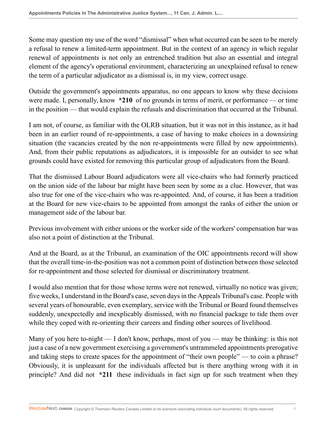Some may question my use of the word "dismissal" when what occurred can be seen to be merely a refusal to renew a limited-term appointment. But in the context of an agency in which regular renewal of appointments is not only an entrenched tradition but also an essential and integral element of the agency's operational environment, characterizing an unexplained refusal to renew the term of a particular adjudicator as a dismissal is, in my view, correct usage.

Outside the government's appointments apparatus, no one appears to know why these decisions were made. I, personally, know **\*210** of no grounds in terms of merit, or performance — or time in the position — that would explain the refusals and discrimination that occurred at the Tribunal.

I am not, of course, as familiar with the OLRB situation, but it was not in this instance, as it had been in an earlier round of re-appointments, a case of having to make choices in a downsizing situation (the vacancies created by the non re-appointments were filled by new appointments). And, from their public reputations as adjudicators, it is impossible for an outsider to see what grounds could have existed for removing this particular group of adjudicators from the Board.

That the dismissed Labour Board adjudicators were all vice-chairs who had formerly practiced on the union side of the labour bar might have been seen by some as a clue. However, that was also true for one of the vice-chairs who was re-appointed. And, of course, it has been a tradition at the Board for new vice-chairs to be appointed from amongst the ranks of either the union or management side of the labour bar.

Previous involvement with either unions or the worker side of the workers' compensation bar was also not a point of distinction at the Tribunal.

And at the Board, as at the Tribunal, an examination of the OIC appointments record will show that the overall time-in-the-position was not a common point of distinction between those selected for re-appointment and those selected for dismissal or discriminatory treatment.

I would also mention that for those whose terms were not renewed, virtually no notice was given; five weeks, I understand in the Board's case, seven days in the Appeals Tribunal's case. People with several years of honourable, even exemplary, service with the Tribunal or Board found themselves suddenly, unexpectedly and inexplicably dismissed, with no financial package to tide them over while they coped with re-orienting their careers and finding other sources of livelihood.

Many of you here to-night — I don't know, perhaps, most of you — may be thinking: is this not just a case of a new government exercising a government's untrammeled appointments prerogative and taking steps to create spaces for the appointment of "their own people" — to coin a phrase? Obviously, it is unpleasant for the individuals affected but is there anything wrong with it in principle? And did not **\*211** these individuals in fact sign up for such treatment when they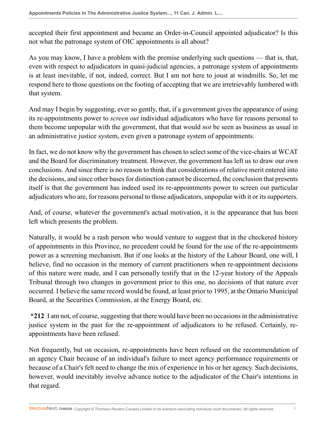accepted their first appointment and became an Order-in-Council appointed adjudicator? Is this not what the patronage system of OIC appointments is all about?

As you may know, I have a problem with the premise underlying such questions — that is, that, even with respect to adjudicators in quasi-judicial agencies, a patronage system of appointments is at least inevitable, if not, indeed, correct. But I am not here to joust at windmills. So, let me respond here to those questions on the footing of accepting that we are irretrievably lumbered with that system.

And may I begin by suggesting, ever so gently, that, if a government gives the appearance of using its re-appointments power to *screen out* individual adjudicators who have for reasons personal to them become unpopular with the government, that that would *not* be seen as business as usual in an administrative justice system, even given a patronage system of appointments.

In fact, we do not know why the government has chosen to select some of the vice-chairs at WCAT and the Board for discriminatory treatment. However, the government has left us to draw our own conclusions. And since there is no reason to think that considerations of relative merit entered into the decisions, and since other bases for distinction cannot be discerned, the conclusion that presents itself is that the government has indeed used its re-appointments power to screen out particular adjudicators who are, for reasons personal to those adjudicators, unpopular with it or its supporters.

And, of course, whatever the government's actual motivation, it is the appearance that has been left which presents the problem.

Naturally, it would be a rash person who would venture to suggest that in the checkered history of appointments in this Province, no precedent could be found for the use of the re-appointments power as a screening mechanism. But if one looks at the history of the Labour Board, one will, I believe, find no occasion in the memory of current practitioners when re-appointment decisions of this nature were made, and I can personally testify that in the 12-year history of the Appeals Tribunal through two changes in government prior to this one, no decisions of that nature ever occurred. I believe the same record would be found, at least prior to 1995, at the Ontario Municipal Board, at the Securities Commission, at the Energy Board, etc.

**\*212** I am not, of course, suggesting that there would have been no occasions in the administrative justice system in the past for the re-appointment of adjudicators to be refused. Certainly, reappointments have been refused.

Not frequently, but on occasion, re-appointments have been refused on the recommendation of an agency Chair because of an individual's failure to meet agency performance requirements or because of a Chair's felt need to change the mix of experience in his or her agency. Such decisions, however, would inevitably involve advance notice to the adjudicator of the Chair's intentions in that regard.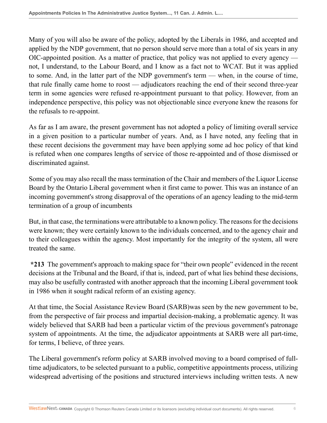Many of you will also be aware of the policy, adopted by the Liberals in 1986, and accepted and applied by the NDP government, that no person should serve more than a total of six years in any OIC-appointed position. As a matter of practice, that policy was not applied to every agency not, I understand, to the Labour Board, and I know as a fact not to WCAT. But it was applied to some. And, in the latter part of the NDP government's term — when, in the course of time, that rule finally came home to roost — adjudicators reaching the end of their second three-year term in some agencies were refused re-appointment pursuant to that policy. However, from an independence perspective, this policy was not objectionable since everyone knew the reasons for the refusals to re-appoint.

As far as I am aware, the present government has not adopted a policy of limiting overall service in a given position to a particular number of years. And, as I have noted, any feeling that in these recent decisions the government may have been applying some ad hoc policy of that kind is refuted when one compares lengths of service of those re-appointed and of those dismissed or discriminated against.

Some of you may also recall the mass termination of the Chair and members of the Liquor License Board by the Ontario Liberal government when it first came to power. This was an instance of an incoming government's strong disapproval of the operations of an agency leading to the mid-term termination of a group of incumbents

But, in that case, the terminations were attributable to a known policy. The reasons for the decisions were known; they were certainly known to the individuals concerned, and to the agency chair and to their colleagues within the agency. Most importantly for the integrity of the system, all were treated the same.

**\*213** The government's approach to making space for "their own people" evidenced in the recent decisions at the Tribunal and the Board, if that is, indeed, part of what lies behind these decisions, may also be usefully contrasted with another approach that the incoming Liberal government took in 1986 when it sought radical reform of an existing agency.

At that time, the Social Assistance Review Board (SARB)was seen by the new government to be, from the perspective of fair process and impartial decision-making, a problematic agency. It was widely believed that SARB had been a particular victim of the previous government's patronage system of appointments. At the time, the adjudicator appointments at SARB were all part-time, for terms, I believe, of three years.

The Liberal government's reform policy at SARB involved moving to a board comprised of fulltime adjudicators, to be selected pursuant to a public, competitive appointments process, utilizing widespread advertising of the positions and structured interviews including written tests. A new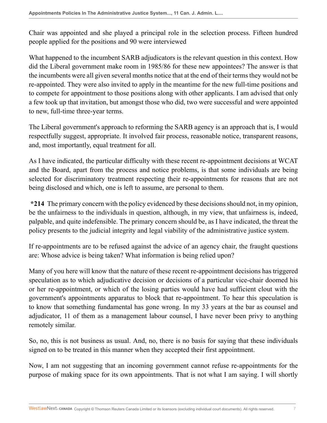Chair was appointed and she played a principal role in the selection process. Fifteen hundred people applied for the positions and 90 were interviewed

What happened to the incumbent SARB adjudicators is the relevant question in this context. How did the Liberal government make room in 1985/86 for these new appointees? The answer is that the incumbents were all given several months notice that at the end of their terms they would not be re-appointed. They were also invited to apply in the meantime for the new full-time positions and to compete for appointment to those positions along with other applicants. I am advised that only a few took up that invitation, but amongst those who did, two were successful and were appointed to new, full-time three-year terms.

The Liberal government's approach to reforming the SARB agency is an approach that is, I would respectfully suggest, appropriate. It involved fair process, reasonable notice, transparent reasons, and, most importantly, equal treatment for all.

As I have indicated, the particular difficulty with these recent re-appointment decisions at WCAT and the Board, apart from the process and notice problems, is that some individuals are being selected for discriminatory treatment respecting their re-appointments for reasons that are not being disclosed and which, one is left to assume, are personal to them.

**\*214** The primary concern with the policy evidenced by these decisions should not, in my opinion, be the unfairness to the individuals in question, although, in my view, that unfairness is, indeed, palpable, and quite indefensible. The primary concern should be, as I have indicated, the threat the policy presents to the judicial integrity and legal viability of the administrative justice system.

If re-appointments are to be refused against the advice of an agency chair, the fraught questions are: Whose advice is being taken? What information is being relied upon?

Many of you here will know that the nature of these recent re-appointment decisions has triggered speculation as to which adjudicative decision or decisions of a particular vice-chair doomed his or her re-appointment, or which of the losing parties would have had sufficient clout with the government's appointments apparatus to block that re-appointment. To hear this speculation is to know that something fundamental has gone wrong. In my 33 years at the bar as counsel and adjudicator, 11 of them as a management labour counsel, I have never been privy to anything remotely similar.

So, no, this is not business as usual. And, no, there is no basis for saying that these individuals signed on to be treated in this manner when they accepted their first appointment.

Now, I am not suggesting that an incoming government cannot refuse re-appointments for the purpose of making space for its own appointments. That is not what I am saying. I will shortly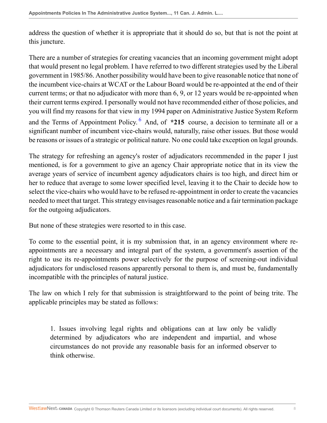address the question of whether it is appropriate that it should do so, but that is not the point at this juncture.

There are a number of strategies for creating vacancies that an incoming government might adopt that would present no legal problem. I have referred to two different strategies used by the Liberal government in 1985/86. Another possibility would have been to give reasonable notice that none of the incumbent vice-chairs at WCAT or the Labour Board would be re-appointed at the end of their current terms; or that no adjudicator with more than 6, 9, or 12 years would be re-appointed when their current terms expired. I personally would not have recommended either of those policies, and you will find my reasons for that view in my 1994 paper on Administrative Justice System Reform and the Terms of Appointment Policy.<sup>[6](#page-45-6)</sup> And, of \*215 course, a decision to terminate all or a significant number of incumbent vice-chairs would, naturally, raise other issues. But those would be reasons or issues of a strategic or political nature. No one could take exception on legal grounds.

<span id="page-7-0"></span>The strategy for refreshing an agency's roster of adjudicators recommended in the paper I just mentioned, is for a government to give an agency Chair appropriate notice that in its view the average years of service of incumbent agency adjudicators chairs is too high, and direct him or her to reduce that average to some lower specified level, leaving it to the Chair to decide how to select the vice-chairs who would have to be refused re-appointment in order to create the vacancies needed to meet that target. This strategy envisages reasonable notice and a fair termination package for the outgoing adjudicators.

But none of these strategies were resorted to in this case.

To come to the essential point, it is my submission that, in an agency environment where reappointments are a necessary and integral part of the system, a government's assertion of the right to use its re-appointments power selectively for the purpose of screening-out individual adjudicators for undisclosed reasons apparently personal to them is, and must be, fundamentally incompatible with the principles of natural justice.

The law on which I rely for that submission is straightforward to the point of being trite. The applicable principles may be stated as follows:

1. Issues involving legal rights and obligations can at law only be validly determined by adjudicators who are independent and impartial, and whose circumstances do not provide any reasonable basis for an informed observer to think otherwise.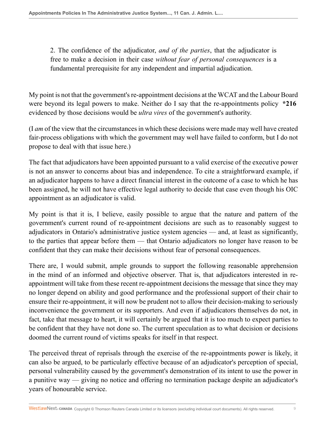2. The confidence of the adjudicator, *and of the parties*, that the adjudicator is free to make a decision in their case *without fear of personal consequences* is a fundamental prerequisite for any independent and impartial adjudication.

My point is not that the government's re-appointment decisions at the WCAT and the Labour Board were beyond its legal powers to make. Neither do I say that the re-appointments policy **\*216** evidenced by those decisions would be *ultra vires* of the government's authority.

(I *am* of the view that the circumstances in which these decisions were made may well have created fair-process obligations with which the government may well have failed to conform, but I do not propose to deal with that issue here.)

The fact that adjudicators have been appointed pursuant to a valid exercise of the executive power is not an answer to concerns about bias and independence. To cite a straightforward example, if an adjudicator happens to have a direct financial interest in the outcome of a case to which he has been assigned, he will not have effective legal authority to decide that case even though his OIC appointment as an adjudicator is valid.

My point is that it is, I believe, easily possible to argue that the nature and pattern of the government's current round of re-appointment decisions are such as to reasonably suggest to adjudicators in Ontario's administrative justice system agencies — and, at least as significantly, to the parties that appear before them — that Ontario adjudicators no longer have reason to be confident that they can make their decisions without fear of personal consequences.

There are, I would submit, ample grounds to support the following reasonable apprehension in the mind of an informed and objective observer. That is, that adjudicators interested in reappointment will take from these recent re-appointment decisions the message that since they may no longer depend on ability and good performance and the professional support of their chair to ensure their re-appointment, it will now be prudent not to allow their decision-making to seriously inconvenience the government or its supporters. And even if adjudicators themselves do not, in fact, take that message to heart, it will certainly be argued that it is too much to expect parties to be confident that they have not done so. The current speculation as to what decision or decisions doomed the current round of victims speaks for itself in that respect.

The perceived threat of reprisals through the exercise of the re-appointments power is likely, it can also be argued, to be particularly effective because of an adjudicator's perception of special, personal vulnerability caused by the government's demonstration of its intent to use the power in a punitive way — giving no notice and offering no termination package despite an adjudicator's years of honourable service.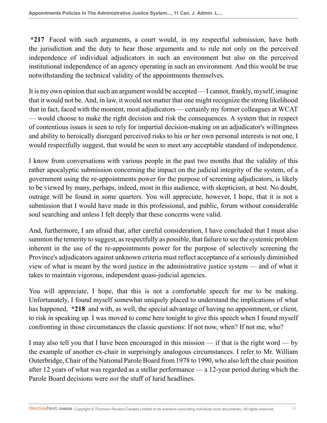**\*217** Faced with such arguments, a court would, in my respectful submission, have both the jurisdiction and the duty to hear those arguments and to rule not only on the perceived independence of individual adjudicators in such an environment but also on the perceived institutional independence of an agency operating in such an environment. And this would be true notwithstanding the technical validity of the appointments themselves.

It is my own opinion that such an argument would be accepted — I cannot, frankly, myself, imagine that it would not be. And, in law, it would not matter that one might recognize the strong likelihood that in fact, faced with the moment, most adjudicators — certainly my former colleagues at WCAT — would choose to make the right decision and risk the consequences. A system that in respect of contentious issues is seen to rely for impartial decision-making on an adjudicator's willingness and ability to heroically disregard perceived risks to his or her own personal interests is not one, I would respectfully suggest, that would be seen to meet any acceptable standard of independence.

I know from conversations with various people in the past two months that the validity of this rather apocalyptic submission concerning the impact on the judicial integrity of the system, of a government using the re-appointments power for the purpose of screening adjudicators, is likely to be viewed by many, perhaps, indeed, most in this audience, with skepticism, at best. No doubt, outrage will be found in some quarters. You will appreciate, however, I hope, that it is not a submission that I would have made in this professional, and public, forum without considerable soul searching and unless I felt deeply that these concerns were valid.

And, furthermore, I am afraid that, after careful consideration, I have concluded that I must also summon the temerity to suggest, as respectfully as possible, that failure to see the systemic problem inherent in the use of the re-appointments power for the purpose of selectively screening the Province's adjudicators against unknown criteria must reflect acceptance of a seriously diminished view of what is meant by the word justice in the administrative justice system — and of what it takes to maintain vigorous, independent quasi-judicial agencies.

You will appreciate, I hope, that this is not a comfortable speech for me to be making. Unfortunately, I found myself somewhat uniquely placed to understand the implications of what has happened, **\*218** and with, as well, the special advantage of having no appointment, or client, to risk in speaking up. I was moved to come here tonight to give this speech when I found myself confronting in those circumstances the classic questions: If not now, when? If not me, who?

I may also tell you that I have been encouraged in this mission — if that is the right word — by the example of another ex-chair in surprisingly analogous circumstances. I refer to Mr. William Outerbridge, Chair of the National Parole Board from 1978 to 1990, who also left the chair position after 12 years of what was regarded as a stellar performance — a 12-year period during which the Parole Board decisions were *not* the stuff of lurid headlines.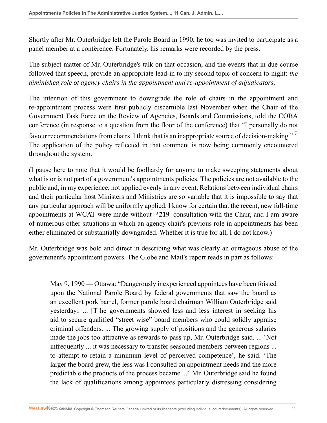Shortly after Mr. Outerbridge left the Parole Board in 1990, he too was invited to participate as a panel member at a conference. Fortunately, his remarks were recorded by the press.

The subject matter of Mr. Outerbridge's talk on that occasion, and the events that in due course followed that speech, provide an appropriate lead-in to my second topic of concern to-night: *the diminished role of agency chairs in the appointment and re-appointment of adjudicators*.

<span id="page-10-0"></span>The intention of this government to downgrade the role of chairs in the appointment and re-appointment process were first publicly discernible last November when the Chair of the Government Task Force on the Review of Agencies, Boards and Commissions, told the COBA conference (in response to a question from the floor of the conference) that "I personally do not favour recommendations from chairs. I think that is an inappropriate source of decision-making."<sup>[7](#page-45-7)</sup> The application of the policy reflected in that comment is now being commonly encountered throughout the system.

(I pause here to note that it would be foolhardy for anyone to make sweeping statements about what is or is not part of a government's appointments policies. The policies are not available to the public and, in my experience, not applied evenly in any event. Relations between individual chairs and their particular host Ministers and Ministries are so variable that it is impossible to say that any particular approach will be uniformly applied. I know for certain that the recent, new full-time appointments at WCAT were made without **\*219** consultation with the Chair, and I am aware of numerous other situations in which an agency chair's previous role in appointments has been either eliminated or substantially downgraded. Whether it is true for all, I do not know.)

Mr. Outerbridge was bold and direct in describing what was clearly an outrageous abuse of the government's appointment powers. The Globe and Mail's report reads in part as follows:

May 9, 1990 — Ottawa: "Dangerously inexperienced appointees have been foisted upon the National Parole Board by federal governments that saw the board as an excellent pork barrel, former parole board chairman William Outerbridge said yesterday.. ... [T]he governments showed less and less interest in seeking his aid to secure qualified "street wise" board members who could solidly appraise criminal offenders. ... The growing supply of positions and the generous salaries made the jobs too attractive as rewards to pass up, Mr. Outerbridge said. ... 'Not infrequently ... it was necessary to transfer seasoned members between regions ... to attempt to retain a minimum level of perceived competence', he said. 'The larger the board grew, the less was I consulted on appointment needs and the more predictable the products of the process became ..." Mr. Outerbridge said he found the lack of qualifications among appointees particularly distressing considering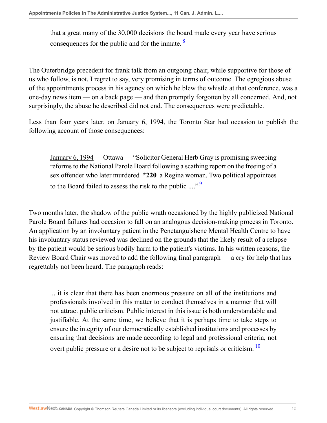<span id="page-11-0"></span>that a great many of the 30,000 decisions the board made every year have serious consequences for the public and for the inmate.  $\frac{8}{3}$  $\frac{8}{3}$  $\frac{8}{3}$ 

The Outerbridge precedent for frank talk from an outgoing chair, while supportive for those of us who follow, is not, I regret to say, very promising in terms of outcome. The egregious abuse of the appointments process in his agency on which he blew the whistle at that conference, was a one-day news item — on a back page — and then promptly forgotten by all concerned. And, not surprisingly, the abuse he described did not end. The consequences were predictable.

Less than four years later, on January 6, 1994, the Toronto Star had occasion to publish the following account of those consequences:

<span id="page-11-1"></span>January 6, 1994 — Ottawa — "Solicitor General Herb Gray is promising sweeping reforms to the National Parole Board following a scathing report on the freeing of a sex offender who later murdered **\*220** a Regina woman. Two political appointees to the Board failed to assess the risk to the public  $\ldots$ <sup>[9](#page-45-9)</sup>

Two months later, the shadow of the public wrath occasioned by the highly publicized National Parole Board failures had occasion to fall on an analogous decision-making process in Toronto. An application by an involuntary patient in the Penetanguishene Mental Health Centre to have his involuntary status reviewed was declined on the grounds that the likely result of a relapse by the patient would be serious bodily harm to the patient's victims. In his written reasons, the Review Board Chair was moved to add the following final paragraph — a cry for help that has regrettably not been heard. The paragraph reads:

<span id="page-11-2"></span>... it is clear that there has been enormous pressure on all of the institutions and professionals involved in this matter to conduct themselves in a manner that will not attract public criticism. Public interest in this issue is both understandable and justifiable. At the same time, we believe that it is perhaps time to take steps to ensure the integrity of our democratically established institutions and processes by ensuring that decisions are made according to legal and professional criteria, not overt public pressure or a desire not to be subject to reprisals or criticism.<sup>[10](#page-45-10)</sup>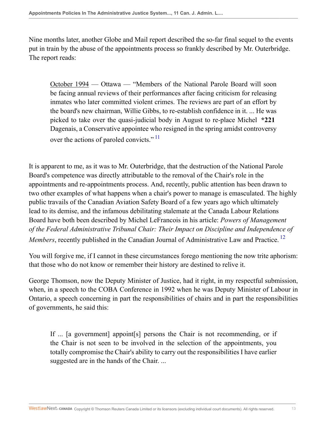Nine months later, another Globe and Mail report described the so-far final sequel to the events put in train by the abuse of the appointments process so frankly described by Mr. Outerbridge. The report reads:

<span id="page-12-0"></span>October 1994 — Ottawa — "Members of the National Parole Board will soon be facing annual reviews of their performances after facing criticism for releasing inmates who later committed violent crimes. The reviews are part of an effort by the board's new chairman, Willie Gibbs, to re-establish confidence in it. ... He was picked to take over the quasi-judicial body in August to re-place Michel **\*221** Dagenais, a Conservative appointee who resigned in the spring amidst controversy over the actions of paroled convicts."<sup>[11](#page-45-11)</sup>

It is apparent to me, as it was to Mr. Outerbridge, that the destruction of the National Parole Board's competence was directly attributable to the removal of the Chair's role in the appointments and re-appointments process. And, recently, public attention has been drawn to two other examples of what happens when a chair's power to manage is emasculated. The highly public travails of the Canadian Aviation Safety Board of a few years ago which ultimately lead to its demise, and the infamous debilitating stalemate at the Canada Labour Relations Board have both been described by Michel LeFrancois in his article: *Powers of Management of the Federal Administrative Tribunal Chair: Their Impact on Discipline and Independence of Members*, recently published in the Canadian Journal of Administrative Law and Practice.<sup>[12](#page-45-12)</sup>

You will forgive me, if I cannot in these circumstances forego mentioning the now trite aphorism: that those who do not know or remember their history are destined to relive it.

George Thomson, now the Deputy Minister of Justice, had it right, in my respectful submission, when, in a speech to the COBA Conference in 1992 when he was Deputy Minister of Labour in Ontario, a speech concerning in part the responsibilities of chairs and in part the responsibilities of governments, he said this:

<span id="page-12-1"></span>If ... [a government] appoint[s] persons the Chair is not recommending, or if the Chair is not seen to be involved in the selection of the appointments, you totally compromise the Chair's ability to carry out the responsibilities I have earlier suggested are in the hands of the Chair. ...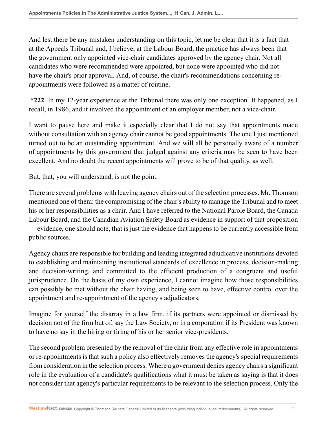And lest there be any mistaken understanding on this topic, let me be clear that it is a fact that at the Appeals Tribunal and, I believe, at the Labour Board, the practice has always been that the government only appointed vice-chair candidates approved by the agency chair. Not all candidates who were recommended were appointed, but none were appointed who did not have the chair's prior approval. And, of course, the chair's recommendations concerning reappointments were followed as a matter of routine.

**\*222** In my 12-year experience at the Tribunal there was only one exception. It happened, as I recall, in 1986, and it involved the appointment of an employer member, not a vice-chair.

I want to pause here and make it especially clear that I do not say that appointments made without consultation with an agency chair cannot be good appointments. The one I just mentioned turned out to be an outstanding appointment. And we will all be personally aware of a number of appointments by this government that judged against any criteria may be seen to have been excellent. And no doubt the recent appointments will prove to be of that quality, as well.

But, that, you will understand, is not the point.

There are several problems with leaving agency chairs out of the selection processes. Mr. Thomson mentioned one of them: the compromising of the chair's ability to manage the Tribunal and to meet his or her responsibilities as a chair. And I have referred to the National Parole Board, the Canada Labour Board, and the Canadian Aviation Safety Board as evidence in support of that proposition — evidence, one should note, that is just the evidence that happens to be currently accessible from public sources.

Agency chairs are responsible for building and leading integrated adjudicative institutions devoted to establishing and maintaining institutional standards of excellence in process, decision-making and decision-writing, and committed to the efficient production of a congruent and useful jurisprudence. On the basis of my own experience, I cannot imagine how those responsibilities can possibly be met without the chair having, and being seen to have, effective control over the appointment and re-appointment of the agency's adjudicators.

Imagine for yourself the disarray in a law firm, if its partners were appointed or dismissed by decision not of the firm but of, say the Law Society, or in a corporation if its President was known to have no say in the hiring or firing of his or her senior vice-presidents.

The second problem presented by the removal of the chair from any effective role in appointments or re-appointments is that such a policy also effectively removes the agency's special requirements from consideration in the selection process. Where a government denies agency chairs a significant role in the evaluation of a candidate's qualifications what it must be taken as saying is that it does not consider that agency's particular requirements to be relevant to the selection process. Only the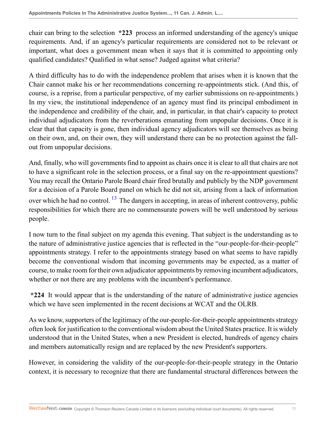chair can bring to the selection **\*223** process an informed understanding of the agency's unique requirements. And, if an agency's particular requirements are considered not to be relevant or important, what does a government mean when it says that it is committed to appointing only qualified candidates? Qualified in what sense? Judged against what criteria?

A third difficulty has to do with the independence problem that arises when it is known that the Chair cannot make his or her recommendations concerning re-appointments stick. (And this, of course, is a reprise, from a particular perspective, of my earlier submissions on re-appointments.) In my view, the institutional independence of an agency must find its principal embodiment in the independence and credibility of the chair, and, in particular, in that chair's capacity to protect individual adjudicators from the reverberations emanating from unpopular decisions. Once it is clear that that capacity is gone, then individual agency adjudicators will see themselves as being on their own, and, on their own, they will understand there can be no protection against the fallout from unpopular decisions.

<span id="page-14-0"></span>And, finally, who will governments find to appoint as chairs once it is clear to all that chairs are not to have a significant role in the selection process, or a final say on the re-appointment questions? You may recall the Ontario Parole Board chair fired brutally and publicly by the NDP government for a decision of a Parole Board panel on which he did not sit, arising from a lack of information over which he had no control. <sup>[13](#page-45-13)</sup> The dangers in accepting, in areas of inherent controversy, public responsibilities for which there are no commensurate powers will be well understood by serious people.

I now turn to the final subject on my agenda this evening. That subject is the understanding as to the nature of administrative justice agencies that is reflected in the "our-people-for-their-people" appointments strategy. I refer to the appointments strategy based on what seems to have rapidly become the conventional wisdom that incoming governments may be expected, as a matter of course, to make room for their own adjudicator appointments by removing incumbent adjudicators, whether or not there are any problems with the incumbent's performance.

**\*224** It would appear that is the understanding of the nature of administrative justice agencies which we have seen implemented in the recent decisions at WCAT and the OLRB.

As we know, supporters of the legitimacy of the our-people-for-their-people appointments strategy often look for justification to the conventional wisdom about the United States practice. It is widely understood that in the United States, when a new President is elected, hundreds of agency chairs and members automatically resign and are replaced by the new President's supporters.

However, in considering the validity of the our-people-for-their-people strategy in the Ontario context, it is necessary to recognize that there are fundamental structural differences between the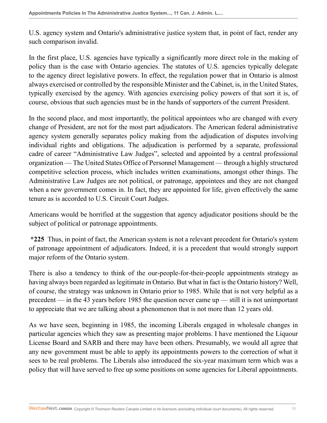U.S. agency system and Ontario's administrative justice system that, in point of fact, render any such comparison invalid.

In the first place, U.S. agencies have typically a significantly more direct role in the making of policy than is the case with Ontario agencies. The statutes of U.S. agencies typically delegate to the agency direct legislative powers. In effect, the regulation power that in Ontario is almost always exercised or controlled by the responsible Minister and the Cabinet, is, in the United States, typically exercised by the agency. With agencies exercising policy powers of that sort it is, of course, obvious that such agencies must be in the hands of supporters of the current President.

In the second place, and most importantly, the political appointees who are changed with every change of President, are not for the most part adjudicators. The American federal administrative agency system generally separates policy making from the adjudication of disputes involving individual rights and obligations. The adjudication is performed by a separate, professional cadre of career "Administrative Law Judges", selected and appointed by a central professional organization — The United States Office of Personnel Management — through a highly structured competitive selection process, which includes written examinations, amongst other things. The Administrative Law Judges are not political, or patronage, appointees and they are not changed when a new government comes in. In fact, they are appointed for life, given effectively the same tenure as is accorded to U.S. Circuit Court Judges.

Americans would be horrified at the suggestion that agency adjudicator positions should be the subject of political or patronage appointments.

**\*225** Thus, in point of fact, the American system is not a relevant precedent for Ontario's system of patronage appointment of adjudicators. Indeed, it is a precedent that would strongly support major reform of the Ontario system.

There is also a tendency to think of the our-people-for-their-people appointments strategy as having always been regarded as legitimate in Ontario. But what in fact is the Ontario history? Well, of course, the strategy was unknown in Ontario prior to 1985. While that is not very helpful as a precedent — in the 43 years before 1985 the question never came up — still it is not unimportant to appreciate that we are talking about a phenomenon that is not more than 12 years old.

As we have seen, beginning in 1985, the incoming Liberals engaged in wholesale changes in particular agencies which they saw as presenting major problems. I have mentioned the Liquour License Board and SARB and there may have been others. Presumably, we would all agree that any new government must be able to apply its appointments powers to the correction of what it sees to be real problems. The Liberals also introduced the six-year maximum term which was a policy that will have served to free up some positions on some agencies for Liberal appointments.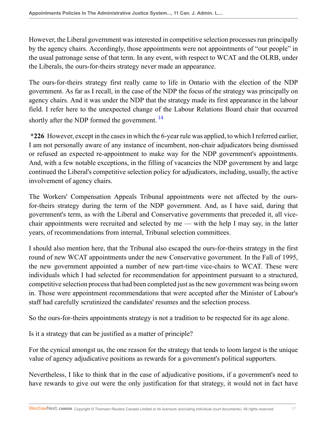However, the Liberal government was interested in competitive selection processes run principally by the agency chairs. Accordingly, those appointments were not appointments of "our people" in the usual patronage sense of that term. In any event, with respect to WCAT and the OLRB, under the Liberals, the ours-for-theirs strategy never made an appearance.

The ours-for-theirs strategy first really came to life in Ontario with the election of the NDP government. As far as I recall, in the case of the NDP the focus of the strategy was principally on agency chairs. And it was under the NDP that the strategy made its first appearance in the labour field. I refer here to the unexpected change of the Labour Relations Board chair that occurred shortly after the NDP formed the government.<sup>[14](#page-45-14)</sup>

<span id="page-16-0"></span>**\*226** However, except in the cases in which the 6-year rule was applied, to which I referred earlier, I am not personally aware of any instance of incumbent, non-chair adjudicators being dismissed or refused an expected re-appointment to make way for the NDP government's appointments. And, with a few notable exceptions, in the filling of vacancies the NDP government by and large continued the Liberal's competitive selection policy for adjudicators, including, usually, the active involvement of agency chairs.

The Workers' Compensation Appeals Tribunal appointments were not affected by the oursfor-theirs strategy during the term of the NDP government. And, as I have said, during that government's term, as with the Liberal and Conservative governments that preceded it, all vicechair appointments were recruited and selected by me — with the help I may say, in the latter years, of recommendations from internal, Tribunal selection committees.

I should also mention here, that the Tribunal also escaped the ours-for-theirs strategy in the first round of new WCAT appointments under the new Conservative government. In the Fall of 1995, the new government appointed a number of new part-time vice-chairs to WCAT. These were individuals which I had selected for recommendation for appointment pursuant to a structured, competitive selection process that had been completed just as the new government was being sworn in. Those were appointment recommendations that were accepted after the Minister of Labour's staff had carefully scrutinized the candidates' resumes and the selection process.

So the ours-for-theirs appointments strategy is not a tradition to be respected for its age alone.

Is it a strategy that can be justified as a matter of principle?

For the cynical amongst us, the one reason for the strategy that tends to loom largest is the unique value of agency adjudicative positions as rewards for a government's political supporters.

Nevertheless, I like to think that in the case of adjudicative positions, if a government's need to have rewards to give out were the only justification for that strategy, it would not in fact have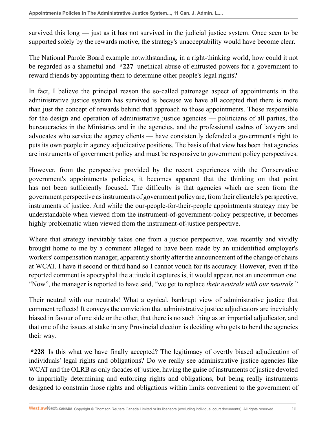survived this long — just as it has not survived in the judicial justice system. Once seen to be supported solely by the rewards motive, the strategy's unacceptability would have become clear.

The National Parole Board example notwithstanding, in a right-thinking world, how could it not be regarded as a shameful and **\*227** unethical abuse of entrusted powers for a government to reward friends by appointing them to determine other people's legal rights?

In fact, I believe the principal reason the so-called patronage aspect of appointments in the administrative justice system has survived is because we have all accepted that there is more than just the concept of rewards behind that approach to those appointments. Those responsible for the design and operation of administrative justice agencies — politicians of all parties, the bureaucracies in the Ministries and in the agencies, and the professional cadres of lawyers and advocates who service the agency clients — have consistently defended a government's right to puts its own people in agency adjudicative positions. The basis of that view has been that agencies are instruments of government policy and must be responsive to government policy perspectives.

However, from the perspective provided by the recent experiences with the Conservative government's appointments policies, it becomes apparent that the thinking on that point has not been sufficiently focused. The difficulty is that agencies which are seen from the government perspective as instruments of government policy are, from their clientele's perspective, instruments of justice. And while the our-people-for-their-people appointments strategy may be understandable when viewed from the instrument-of-government-policy perspective, it becomes highly problematic when viewed from the instrument-of-justice perspective.

Where that strategy inevitably takes one from a justice perspective, was recently and vividly brought home to me by a comment alleged to have been made by an unidentified employer's workers' compensation manager, apparently shortly after the announcement of the change of chairs at WCAT. I have it second or third hand so I cannot vouch for its accuracy. However, even if the reported comment is apocryphal the attitude it captures is, it would appear, not an uncommon one. "Now", the manager is reported to have said, "we get to replace *their neutrals with our neutrals*."

Their neutral with our neutrals! What a cynical, bankrupt view of administrative justice that comment reflects! It conveys the conviction that administrative justice adjudicators are inevitably biased in favour of one side or the other, that there is no such thing as an impartial adjudicator, and that one of the issues at stake in any Provincial election is deciding who gets to bend the agencies their way.

**\*228** Is this what we have finally accepted? The legitimacy of overtly biased adjudication of individuals' legal rights and obligations? Do we really see administrative justice agencies like WCAT and the OLRB as only facades of justice, having the guise of instruments of justice devoted to impartially determining and enforcing rights and obligations, but being really instruments designed to constrain those rights and obligations within limits convenient to the government of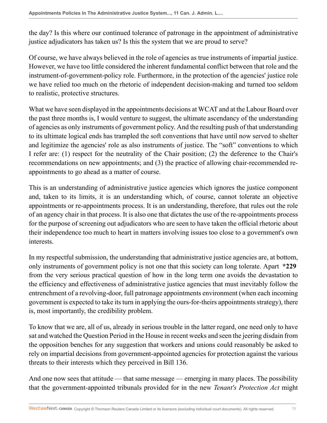the day? Is this where our continued tolerance of patronage in the appointment of administrative justice adjudicators has taken us? Is this the system that we are proud to serve?

Of course, we have always believed in the role of agencies as true instruments of impartial justice. However, we have too little considered the inherent fundamental conflict between that role and the instrument-of-government-policy role. Furthermore, in the protection of the agencies' justice role we have relied too much on the rhetoric of independent decision-making and turned too seldom to realistic, protective structures.

What we have seen displayed in the appointments decisions at WCAT and at the Labour Board over the past three months is, I would venture to suggest, the ultimate ascendancy of the understanding of agencies as only instruments of government policy. And the resulting push of that understanding to its ultimate logical ends has trampled the soft conventions that have until now served to shelter and legitimize the agencies' role as also instruments of justice. The "soft" conventions to which I refer are: (1) respect for the neutrality of the Chair position; (2) the deference to the Chair's recommendations on new appointments; and (3) the practice of allowing chair-recommended reappointments to go ahead as a matter of course.

This is an understanding of administrative justice agencies which ignores the justice component and, taken to its limits, it is an understanding which, of course, cannot tolerate an objective appointments or re-appointments process. It is an understanding, therefore, that rules out the role of an agency chair in that process. It is also one that dictates the use of the re-appointments process for the purpose of screening out adjudicators who are seen to have taken the official rhetoric about their independence too much to heart in matters involving issues too close to a government's own interests.

In my respectful submission, the understanding that administrative justice agencies are, at bottom, only instruments of government policy is not one that this society can long tolerate. Apart **\*229** from the very serious practical question of how in the long term one avoids the devastation to the efficiency and effectiveness of administrative justice agencies that must inevitably follow the entrenchment of a revolving-door, full patronage appointments environment (when each incoming government is expected to take its turn in applying the ours-for-theirs appointments strategy), there is, most importantly, the credibility problem.

To know that we are, all of us, already in serious trouble in the latter regard, one need only to have sat and watched the Question Period in the House in recent weeks and seen the jeering disdain from the opposition benches for any suggestion that workers and unions could reasonably be asked to rely on impartial decisions from government-appointed agencies for protection against the various threats to their interests which they perceived in Bill 136.

And one now sees that attitude — that same message — emerging in many places. The possibility that the government-appointed tribunals provided for in the new *Tenant's Protection Act* might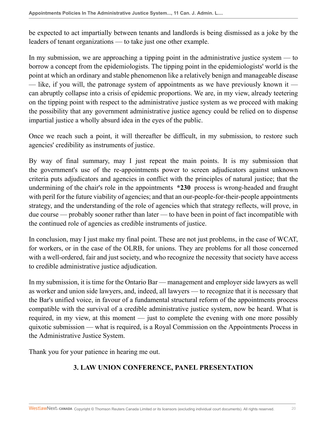be expected to act impartially between tenants and landlords is being dismissed as a joke by the leaders of tenant organizations — to take just one other example.

In my submission, we are approaching a tipping point in the administrative justice system — to borrow a concept from the epidemiologists. The tipping point in the epidemiologists' world is the point at which an ordinary and stable phenomenon like a relatively benign and manageable disease — like, if you will, the patronage system of appointments as we have previously known it can abruptly collapse into a crisis of epidemic proportions. We are, in my view, already teetering on the tipping point with respect to the administrative justice system as we proceed with making the possibility that any government administrative justice agency could be relied on to dispense impartial justice a wholly absurd idea in the eyes of the public.

Once we reach such a point, it will thereafter be difficult, in my submission, to restore such agencies' credibility as instruments of justice.

By way of final summary, may I just repeat the main points. It is my submission that the government's use of the re-appointments power to screen adjudicators against unknown criteria puts adjudicators and agencies in conflict with the principles of natural justice; that the undermining of the chair's role in the appointments **\*230** process is wrong-headed and fraught with peril for the future viability of agencies; and that an our-people-for-their-people appointments strategy, and the understanding of the role of agencies which that strategy reflects, will prove, in due course — probably sooner rather than later — to have been in point of fact incompatible with the continued role of agencies as credible instruments of justice.

In conclusion, may I just make my final point. These are not just problems, in the case of WCAT, for workers, or in the case of the OLRB, for unions. They are problems for all those concerned with a well-ordered, fair and just society, and who recognize the necessity that society have access to credible administrative justice adjudication.

In my submission, it is time for the Ontario Bar — management and employer side lawyers as well as worker and union side lawyers, and, indeed, all lawyers — to recognize that it is necessary that the Bar's unified voice, in favour of a fundamental structural reform of the appointments process compatible with the survival of a credible administrative justice system, now be heard. What is required, in my view, at this moment — just to complete the evening with one more possibly quixotic submission — what is required, is a Royal Commission on the Appointments Process in the Administrative Justice System.

Thank you for your patience in hearing me out.

## **3. LAW UNION CONFERENCE, PANEL PRESENTATION**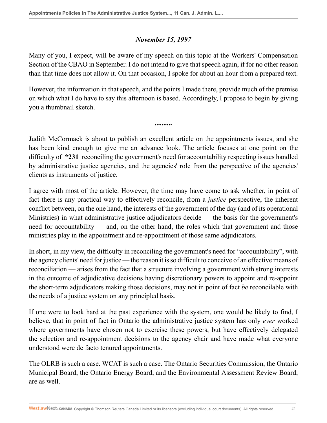#### *November 15, 1997*

Many of you, I expect, will be aware of my speech on this topic at the Workers' Compensation Section of the CBAO in September. I do not intend to give that speech again, if for no other reason than that time does not allow it. On that occasion, I spoke for about an hour from a prepared text.

However, the information in that speech, and the points I made there, provide much of the premise on which what I do have to say this afternoon is based. Accordingly, I propose to begin by giving you a thumbnail sketch.

**..........**

Judith McCormack is about to publish an excellent article on the appointments issues, and she has been kind enough to give me an advance look. The article focuses at one point on the difficulty of **\*231** reconciling the government's need for accountability respecting issues handled by administrative justice agencies, and the agencies' role from the perspective of the agencies' clients as instruments of justice.

I agree with most of the article. However, the time may have come to ask whether, in point of fact there is any practical way to effectively reconcile, from a *justice* perspective, the inherent conflict between, on the one hand, the interests of the government of the day (and of its operational Ministries) in what administrative justice adjudicators decide — the basis for the government's need for accountability — and, on the other hand, the roles which that government and those ministries play in the appointment and re-appointment of those same adjudicators.

In short, in my view, the difficulty in reconciling the government's need for "accountability", with the agency clients' need for justice — the reason it is so difficult to conceive of an effective means of reconciliation — arises from the fact that a structure involving a government with strong interests in the outcome of adjudicative decisions having discretionary powers to appoint and re-appoint the short-term adjudicators making those decisions, may not in point of fact *be* reconcilable with the needs of a justice system on any principled basis.

If one were to look hard at the past experience with the system, one would be likely to find, I believe, that in point of fact in Ontario the administrative justice system has only *ever* worked where governments have chosen not to exercise these powers, but have effectively delegated the selection and re-appointment decisions to the agency chair and have made what everyone understood were de facto tenured appointments.

The OLRB is such a case. WCAT is such a case. The Ontario Securities Commission, the Ontario Municipal Board, the Ontario Energy Board, and the Environmental Assessment Review Board, are as well.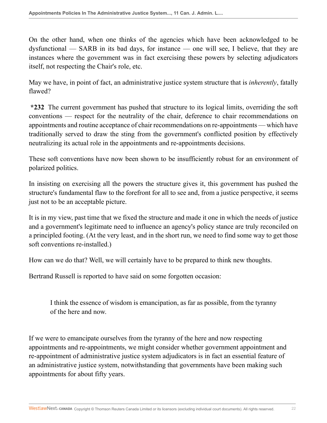On the other hand, when one thinks of the agencies which have been acknowledged to be dysfunctional — SARB in its bad days, for instance — one will see, I believe, that they are instances where the government was in fact exercising these powers by selecting adjudicators itself, not respecting the Chair's role, etc.

May we have, in point of fact, an administrative justice system structure that is *inherently*, fatally flawed?

**\*232** The current government has pushed that structure to its logical limits, overriding the soft conventions — respect for the neutrality of the chair, deference to chair recommendations on appointments and routine acceptance of chair recommendations on re-appointments — which have traditionally served to draw the sting from the government's conflicted position by effectively neutralizing its actual role in the appointments and re-appointments decisions.

These soft conventions have now been shown to be insufficiently robust for an environment of polarized politics.

In insisting on exercising all the powers the structure gives it, this government has pushed the structure's fundamental flaw to the forefront for all to see and, from a justice perspective, it seems just not to be an acceptable picture.

It is in my view, past time that we fixed the structure and made it one in which the needs of justice and a government's legitimate need to influence an agency's policy stance are truly reconciled on a principled footing. (At the very least, and in the short run, we need to find some way to get those soft conventions re-installed.)

How can we do that? Well, we will certainly have to be prepared to think new thoughts.

Bertrand Russell is reported to have said on some forgotten occasion:

I think the essence of wisdom is emancipation, as far as possible, from the tyranny of the here and now.

If we were to emancipate ourselves from the tyranny of the here and now respecting appointments and re-appointments, we might consider whether government appointment and re-appointment of administrative justice system adjudicators is in fact an essential feature of an administrative justice system, notwithstanding that governments have been making such appointments for about fifty years.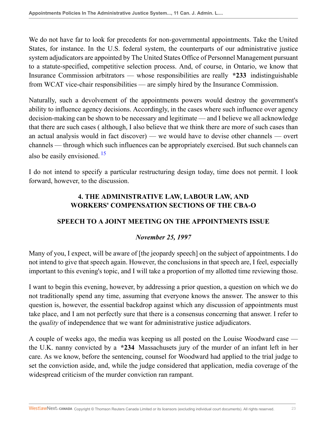We do not have far to look for precedents for non-governmental appointments. Take the United States, for instance. In the U.S. federal system, the counterparts of our administrative justice system adjudicators are appointed by The United States Office of Personnel Management pursuant to a statute-specified, competitive selection process. And, of course, in Ontario, we know that Insurance Commission arbitrators — whose responsibilities are really **\*233** indistinguishable from WCAT vice-chair responsibilities — are simply hired by the Insurance Commission.

Naturally, such a devolvement of the appointments powers would destroy the government's ability to influence agency decisions. Accordingly, in the cases where such influence over agency decision-making can be shown to be necessary and legitimate — and I believe we all acknowledge that there are such cases ( although, I also believe that we think there are more of such cases than an actual analysis would in fact discover) — we would have to devise other channels — overt channels — through which such influences can be appropriately exercised. But such channels can also be easily envisioned. [15](#page-45-15)

I do not intend to specify a particular restructuring design today, time does not permit. I look forward, however, to the discussion.

# <span id="page-22-0"></span>**4. THE ADMINISTRATIVE LAW, LABOUR LAW, AND WORKERS' COMPENSATION SECTIONS OF THE CBA-O**

## **SPEECH TO A JOINT MEETING ON THE APPOINTMENTS ISSUE**

## *November 25, 1997*

Many of you, I expect, will be aware of [the jeopardy speech] on the subject of appointments. I do not intend to give that speech again. However, the conclusions in that speech are, I feel, especially important to this evening's topic, and I will take a proportion of my allotted time reviewing those.

I want to begin this evening, however, by addressing a prior question, a question on which we do not traditionally spend any time, assuming that everyone knows the answer. The answer to this question is, however, the essential backdrop against which any discussion of appointments must take place, and I am not perfectly sure that there is a consensus concerning that answer. I refer to the *quality* of independence that we want for administrative justice adjudicators.

A couple of weeks ago, the media was keeping us all posted on the Louise Woodward case the U.K. nanny convicted by a **\*234** Massachusets jury of the murder of an infant left in her care. As we know, before the sentencing, counsel for Woodward had applied to the trial judge to set the conviction aside, and, while the judge considered that application, media coverage of the widespread criticism of the murder conviction ran rampant.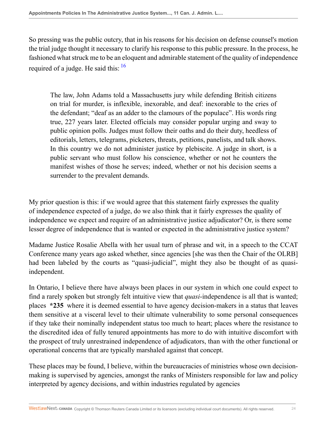So pressing was the public outcry, that in his reasons for his decision on defense counsel's motion the trial judge thought it necessary to clarify his response to this public pressure. In the process, he fashioned what struck me to be an eloquent and admirable statement of the quality of independence required of a judge. He said this:  $16$ 

<span id="page-23-0"></span>The law, John Adams told a Massachusetts jury while defending British citizens on trial for murder, is inflexible, inexorable, and deaf: inexorable to the cries of the defendant; "deaf as an adder to the clamours of the populace". His words ring true, 227 years later. Elected officials may consider popular urging and sway to public opinion polls. Judges must follow their oaths and do their duty, heedless of editorials, letters, telegrams, picketers, threats, petitions, panelists, and talk shows. In this country we do not administer justice by plebiscite. A judge in short, is a public servant who must follow his conscience, whether or not he counters the manifest wishes of those he serves; indeed, whether or not his decision seems a surrender to the prevalent demands.

My prior question is this: if we would agree that this statement fairly expresses the quality of independence expected of a judge, do we also think that it fairly expresses the quality of independence we expect and require of an administrative justice adjudicator? Or, is there some lesser degree of independence that is wanted or expected in the administrative justice system?

Madame Justice Rosalie Abella with her usual turn of phrase and wit, in a speech to the CCAT Conference many years ago asked whether, since agencies [she was then the Chair of the OLRB] had been labeled by the courts as "quasi-judicial", might they also be thought of as quasiindependent.

In Ontario, I believe there have always been places in our system in which one could expect to find a rarely spoken but strongly felt intuitive view that *quasi*-independence is all that is wanted; places **\*235** where it is deemed essential to have agency decision-makers in a status that leaves them sensitive at a visceral level to their ultimate vulnerability to some personal consequences if they take their nominally independent status too much to heart; places where the resistance to the discredited idea of fully tenured appointments has more to do with intuitive discomfort with the prospect of truly unrestrained independence of adjudicators, than with the other functional or operational concerns that are typically marshaled against that concept.

These places may be found, I believe, within the bureaucracies of ministries whose own decisionmaking is supervised by agencies, amongst the ranks of Ministers responsible for law and policy interpreted by agency decisions, and within industries regulated by agencies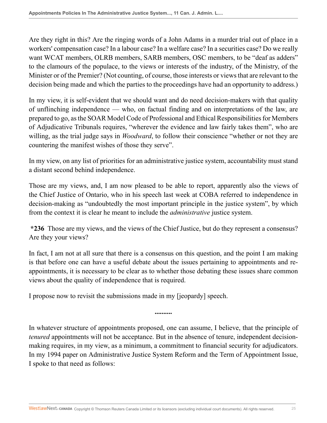Are they right in this? Are the ringing words of a John Adams in a murder trial out of place in a workers' compensation case? In a labour case? In a welfare case? In a securities case? Do we really want WCAT members, OLRB members, SARB members, OSC members, to be "deaf as adders" to the clamours of the populace, to the views or interests of the industry, of the Ministry, of the Minister or of the Premier? (Not counting, of course, those interests or views that are relevant to the decision being made and which the parties to the proceedings have had an opportunity to address.)

In my view, it is self-evident that we should want and do need decision-makers with that quality of unflinching independence — who, on factual finding and on interpretations of the law, are prepared to go, as the SOAR Model Code of Professional and Ethical Responsibilities for Members of Adjudicative Tribunals requires, "wherever the evidence and law fairly takes them", who are willing, as the trial judge says in *Woodward*, to follow their conscience "whether or not they are countering the manifest wishes of those they serve".

In my view, on any list of priorities for an administrative justice system, accountability must stand a distant second behind independence.

Those are my views, and, I am now pleased to be able to report, apparently also the views of the Chief Justice of Ontario, who in his speech last week at COBA referred to independence in decision-making as "undoubtedly the most important principle in the justice system", by which from the context it is clear he meant to include the *administrative* justice system.

**\*236** Those are my views, and the views of the Chief Justice, but do they represent a consensus? Are they your views?

In fact, I am not at all sure that there is a consensus on this question, and the point I am making is that before one can have a useful debate about the issues pertaining to appointments and reappointments, it is necessary to be clear as to whether those debating these issues share common views about the quality of independence that is required.

I propose now to revisit the submissions made in my [jeopardy] speech.

In whatever structure of appointments proposed, one can assume, I believe, that the principle of *tenured* appointments will not be acceptance. But in the absence of tenure, independent decisionmaking requires, in my view, as a minimum, a commitment to financial security for adjudicators. In my 1994 paper on Administrative Justice System Reform and the Term of Appointment Issue, I spoke to that need as follows:

**..........**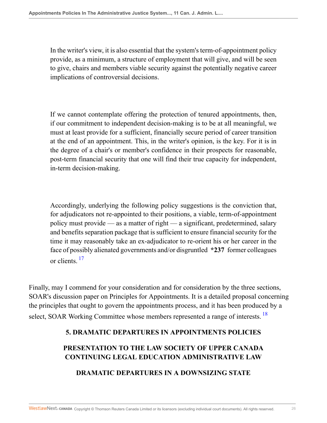In the writer's view, it is also essential that the system's term-of-appointment policy provide, as a minimum, a structure of employment that will give, and will be seen to give, chairs and members viable security against the potentially negative career implications of controversial decisions.

If we cannot contemplate offering the protection of tenured appointments, then, if our commitment to independent decision-making is to be at all meaningful, we must at least provide for a sufficient, financially secure period of career transition at the end of an appointment. This, in the writer's opinion, is the key. For it is in the degree of a chair's or member's confidence in their prospects for reasonable, post-term financial security that one will find their true capacity for independent, in-term decision-making.

Accordingly, underlying the following policy suggestions is the conviction that, for adjudicators not re-appointed to their positions, a viable, term-of-appointment policy must provide — as a matter of right — a significant, predetermined, salary and benefits separation package that is sufficient to ensure financial security for the time it may reasonably take an ex-adjudicator to re-orient his or her career in the face of possibly alienated governments and/or disgruntled **\*237** former colleagues or clients  $17$ 

<span id="page-25-0"></span>Finally, may I commend for your consideration and for consideration by the three sections, SOAR's discussion paper on Principles for Appointments. It is a detailed proposal concerning the principles that ought to govern the appointments process, and it has been produced by a select, SOAR Working Committee whose members represented a range of interests.<sup>[18](#page-46-2)</sup>

## **5. DRAMATIC DEPARTURES IN APPOINTMENTS POLICIES**

## **PRESENTATION TO THE LAW SOCIETY OF UPPER CANADA CONTINUING LEGAL EDUCATION ADMINISTRATIVE LAW**

## <span id="page-25-1"></span>**DRAMATIC DEPARTURES IN A DOWNSIZING STATE**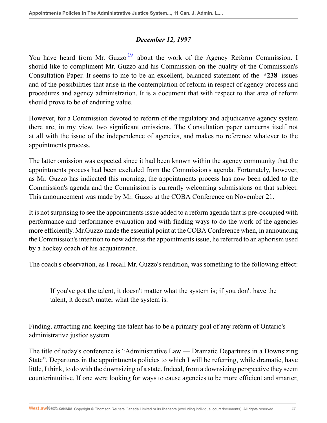#### <span id="page-26-0"></span>*December 12, 1997*

You have heard from Mr. Guzzo<sup>[19](#page-46-3)</sup> about the work of the Agency Reform Commission. I should like to compliment Mr. Guzzo and his Commission on the quality of the Commission's Consultation Paper. It seems to me to be an excellent, balanced statement of the **\*238** issues and of the possibilities that arise in the contemplation of reform in respect of agency process and procedures and agency administration. It is a document that with respect to that area of reform should prove to be of enduring value.

However, for a Commission devoted to reform of the regulatory and adjudicative agency system there are, in my view, two significant omissions. The Consultation paper concerns itself not at all with the issue of the independence of agencies, and makes no reference whatever to the appointments process.

The latter omission was expected since it had been known within the agency community that the appointments process had been excluded from the Commission's agenda. Fortunately, however, as Mr. Guzzo has indicated this morning, the appointments process has now been added to the Commission's agenda and the Commission is currently welcoming submissions on that subject. This announcement was made by Mr. Guzzo at the COBA Conference on November 21.

It is not surprising to see the appointments issue added to a reform agenda that is pre-occupied with performance and performance evaluation and with finding ways to do the work of the agencies more efficiently. Mr.Guzzo made the essential point at the COBA Conference when, in announcing the Commission's intention to now address the appointments issue, he referred to an aphorism used by a hockey coach of his acquaintance.

The coach's observation, as I recall Mr. Guzzo's rendition, was something to the following effect:

If you've got the talent, it doesn't matter what the system is; if you don't have the talent, it doesn't matter what the system is.

Finding, attracting and keeping the talent has to be a primary goal of any reform of Ontario's administrative justice system.

The title of today's conference is "Administrative Law — Dramatic Departures in a Downsizing State". Departures in the appointments policies to which I will be referring, while dramatic, have little, I think, to do with the downsizing of a state. Indeed, from a downsizing perspective they seem counterintuitive. If one were looking for ways to cause agencies to be more efficient and smarter,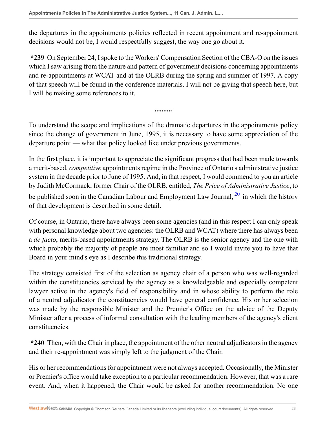the departures in the appointments policies reflected in recent appointment and re-appointment decisions would not be, I would respectfully suggest, the way one go about it.

**\*239** On September 24, I spoke to the Workers' Compensation Section of the CBA-O on the issues which I saw arising from the nature and pattern of government decisions concerning appointments and re-appointments at WCAT and at the OLRB during the spring and summer of 1997. A copy of that speech will be found in the conference materials. I will not be giving that speech here, but I will be making some references to it.

To understand the scope and implications of the dramatic departures in the appointments policy since the change of government in June, 1995, it is necessary to have some appreciation of the departure point — what that policy looked like under previous governments.

<span id="page-27-0"></span>**..........**

In the first place, it is important to appreciate the significant progress that had been made towards a merit-based, *competitive* appointments regime in the Province of Ontario's administrative justice system in the decade prior to June of 1995. And, in that respect, I would commend to you an article by Judith McCormack, former Chair of the OLRB, entitled, *The Price of Administrative Justice*, to be published soon in the Canadian Labour and Employment Law Journal,  $^{20}$  $^{20}$  $^{20}$  in which the history of that development is described in some detail.

Of course, in Ontario, there have always been some agencies (and in this respect I can only speak with personal knowledge about two agencies: the OLRB and WCAT) where there has always been a *de facto*, merits-based appointments strategy. The OLRB is the senior agency and the one with which probably the majority of people are most familiar and so I would invite you to have that Board in your mind's eye as I describe this traditional strategy.

The strategy consisted first of the selection as agency chair of a person who was well-regarded within the constituencies serviced by the agency as a knowledgeable and especially competent lawyer active in the agency's field of responsibility and in whose ability to perform the role of a neutral adjudicator the constituencies would have general confidence. His or her selection was made by the responsible Minister and the Premier's Office on the advice of the Deputy Minister after a process of informal consultation with the leading members of the agency's client constituencies.

**\*240** Then, with the Chair in place, the appointment of the other neutral adjudicators in the agency and their re-appointment was simply left to the judgment of the Chair.

His or her recommendations for appointment were not always accepted. Occasionally, the Minister or Premier's office would take exception to a particular recommendation. However, that was a rare event. And, when it happened, the Chair would be asked for another recommendation. No one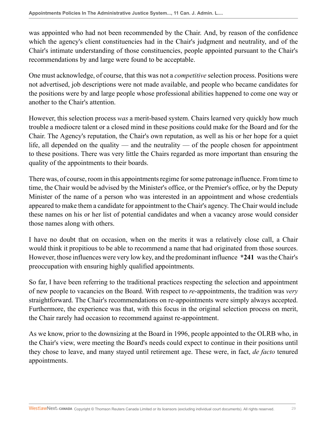was appointed who had not been recommended by the Chair. And, by reason of the confidence which the agency's client constituencies had in the Chair's judgment and neutrality, and of the Chair's intimate understanding of those constituencies, people appointed pursuant to the Chair's recommendations by and large were found to be acceptable.

One must acknowledge, of course, that this was not a *competitive* selection process. Positions were not advertised, job descriptions were not made available, and people who became candidates for the positions were by and large people whose professional abilities happened to come one way or another to the Chair's attention.

However, this selection process *was* a merit-based system. Chairs learned very quickly how much trouble a mediocre talent or a closed mind in these positions could make for the Board and for the Chair. The Agency's reputation, the Chair's own reputation, as well as his or her hope for a quiet life, all depended on the quality — and the neutrality — of the people chosen for appointment to these positions. There was very little the Chairs regarded as more important than ensuring the quality of the appointments to their boards.

There was, of course, room in this appointments regime for some patronage influence. From time to time, the Chair would be advised by the Minister's office, or the Premier's office, or by the Deputy Minister of the name of a person who was interested in an appointment and whose credentials appeared to make them a candidate for appointment to the Chair's agency. The Chair would include these names on his or her list of potential candidates and when a vacancy arose would consider those names along with others.

I have no doubt that on occasion, when on the merits it was a relatively close call, a Chair would think it propitious to be able to recommend a name that had originated from those sources. However, those influences were very low key, and the predominant influence **\*241** was the Chair's preoccupation with ensuring highly qualified appointments.

So far, I have been referring to the traditional practices respecting the selection and appointment of new people to vacancies on the Board. With respect to *re*-appointments, the tradition was *very* straightforward. The Chair's recommendations on re-appointments were simply always accepted. Furthermore, the experience was that, with this focus in the original selection process on merit, the Chair rarely had occasion to recommend against re-appointment.

As we know, prior to the downsizing at the Board in 1996, people appointed to the OLRB who, in the Chair's view, were meeting the Board's needs could expect to continue in their positions until they chose to leave, and many stayed until retirement age. These were, in fact, *de facto* tenured appointments.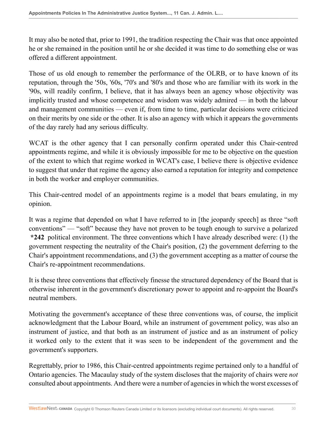It may also be noted that, prior to 1991, the tradition respecting the Chair was that once appointed he or she remained in the position until he or she decided it was time to do something else or was offered a different appointment.

Those of us old enough to remember the performance of the OLRB, or to have known of its reputation, through the '50s, '60s, '70's and '80's and those who are familiar with its work in the '90s, will readily confirm, I believe, that it has always been an agency whose objectivity was implicitly trusted and whose competence and wisdom was widely admired — in both the labour and management communities — even if, from time to time, particular decisions were criticized on their merits by one side or the other. It is also an agency with which it appears the governments of the day rarely had any serious difficulty.

WCAT is the other agency that I can personally confirm operated under this Chair-centred appointments regime, and while it is obviously impossible for me to be objective on the question of the extent to which that regime worked in WCAT's case, I believe there is objective evidence to suggest that under that regime the agency also earned a reputation for integrity and competence in both the worker and employer communities.

This Chair-centred model of an appointments regime is a model that bears emulating, in my opinion.

It was a regime that depended on what I have referred to in [the jeopardy speech] as three "soft conventions" — "soft" because they have not proven to be tough enough to survive a polarized **\*242** political environment. The three conventions which I have already described were: (1) the government respecting the neutrality of the Chair's position, (2) the government deferring to the Chair's appointment recommendations, and (3) the government accepting as a matter of course the Chair's re-appointment recommendations.

It is these three conventions that effectively finesse the structured dependency of the Board that is otherwise inherent in the government's discretionary power to appoint and re-appoint the Board's neutral members.

Motivating the government's acceptance of these three conventions was, of course, the implicit acknowledgment that the Labour Board, while an instrument of government policy, was also an instrument of justice, and that both as an instrument of justice and as an instrument of policy it worked only to the extent that it was seen to be independent of the government and the government's supporters.

Regrettably, prior to 1986, this Chair-centred appointments regime pertained only to a handful of Ontario agencies. The Macaulay study of the system discloses that the majority of chairs were *not* consulted about appointments. And there were a number of agencies in which the worst excesses of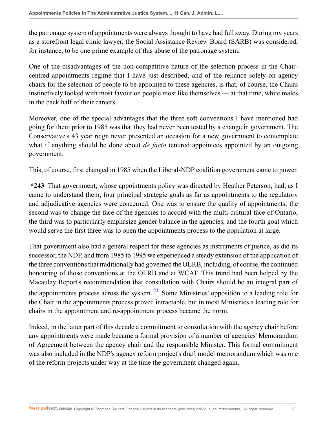the patronage system of appointments were always thought to have had full sway. During my years as a storefront legal clinic lawyer, the Social Assistance Review Board (SARB) was considered, for instance, to be one prime example of this abuse of the patronage system.

One of the disadvantages of the non-competitive nature of the selection process in the Chaircentred appointments regime that I have just described, and of the reliance solely on agency chairs for the selection of people to be appointed to these agencies, is that, of course, the Chairs instinctively looked with most favour on people most like themselves — at that time, white males in the back half of their careers.

Moreover, one of the special advantages that the three soft conventions I have mentioned had going for them prior to 1985 was that they had never been tested by a change in government. The Conservative's 43 year reign never presented an occasion for a new government to contemplate what if anything should be done about *de facto* tenured appointees appointed by an outgoing government.

This, of course, first changed in 1985 when the Liberal-NDP coalition government came to power.

**\*243** That government, whose appointments policy was directed by Heather Peterson, had, as I came to understand them, four principal strategic goals as far as appointments to the regulatory and adjudicative agencies were concerned. One was to ensure the quality of appointments, the second was to change the face of the agencies to accord with the multi-cultural face of Ontario, the third was to particularly emphasize gender balance in the agencies, and the fourth goal which would serve the first three was to open the appointments process to the population at large.

That government also had a general respect for these agencies as instruments of justice, as did its successor, the NDP, and from 1985 to 1995 we experienced a steady extension of the application of the three conventions that traditionally had governed the OLRB, including, of course, the continued honouring of those conventions at the OLRB and at WCAT. This trend had been helped by the Macaulay Report's recommendation that consultation with Chairs should be an integral part of the appointments process across the system.  $2^{1}$  Some Ministries' opposition to a leading role for the Chair in the appointments process proved intractable, but in most Ministries a leading role for chairs in the appointment and re-appointment process became the norm.

<span id="page-30-0"></span>Indeed, in the latter part of this decade a commitment to consultation with the agency chair before any appointments were made became a formal provision of a number of agencies' Memorandum of Agreement between the agency chair and the responsible Minister. This formal commitment was also included in the NDP's agency reform project's draft model memorandum which was one of the reform projects under way at the time the government changed again.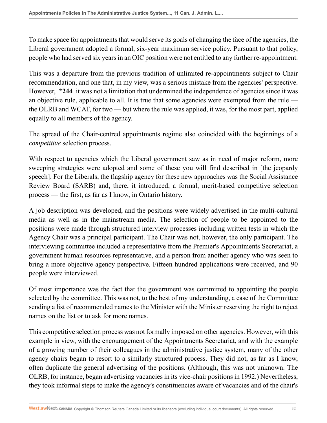To make space for appointments that would serve its goals of changing the face of the agencies, the Liberal government adopted a formal, six-year maximum service policy. Pursuant to that policy, people who had served six years in an OIC position were not entitled to any further re-appointment.

This was a departure from the previous tradition of unlimited re-appointments subject to Chair recommendation, and one that, in my view, was a serious mistake from the agencies' perspective. However, **\*244** it was not a limitation that undermined the independence of agencies since it was an objective rule, applicable to all. It is true that some agencies were exempted from the rule the OLRB and WCAT, for two — but where the rule was applied, it was, for the most part, applied equally to all members of the agency.

The spread of the Chair-centred appointments regime also coincided with the beginnings of a *competitive* selection process.

With respect to agencies which the Liberal government saw as in need of major reform, more sweeping strategies were adopted and some of these you will find described in [the jeopardy speech]. For the Liberals, the flagship agency for these new approaches was the Social Assistance Review Board (SARB) and, there, it introduced, a formal, merit-based competitive selection process — the first, as far as I know, in Ontario history.

A job description was developed, and the positions were widely advertised in the multi-cultural media as well as in the mainstream media. The selection of people to be appointed to the positions were made through structured interview processes including written tests in which the Agency Chair was a principal participant. The Chair was not, however, the only participant. The interviewing committee included a representative from the Premier's Appointments Secretariat, a government human resources representative, and a person from another agency who was seen to bring a more objective agency perspective. Fifteen hundred applications were received, and 90 people were interviewed.

Of most importance was the fact that the government was committed to appointing the people selected by the committee. This was not, to the best of my understanding, a case of the Committee sending a list of recommended names to the Minister with the Minister reserving the right to reject names on the list or to ask for more names.

This competitive selection process was not formally imposed on other agencies. However, with this example in view, with the encouragement of the Appointments Secretariat, and with the example of a growing number of their colleagues in the administrative justice system, many of the other agency chairs began to resort to a similarly structured process. They did not, as far as I know, often duplicate the general advertising of the positions. (Although, this was not unknown. The OLRB, for instance, began advertising vacancies in its vice-chair positions in 1992.) Nevertheless, they took informal steps to make the agency's constituencies aware of vacancies and of the chair's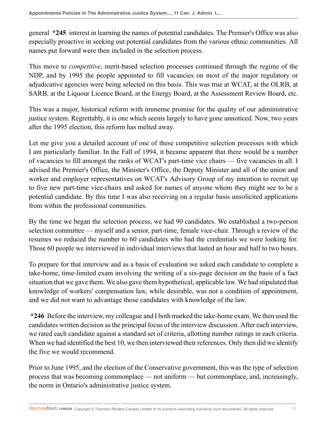general **\*245** interest in learning the names of potential candidates. The Premier's Office was also especially proactive in seeking out potential candidates from the various ethnic communities. All names put forward were then included in the selection process.

This move to *competitive*, merit-based selection processes continued through the regime of the NDP, and by 1995 the people appointed to fill vacancies on most of the major regulatory or adjudicative agencies were being selected on this basis. This was true at WCAT, at the OLRB, at SARB, at the Liquour Licence Board, at the Energy Board, at the Assessment Review Board, etc.

This was a major, historical reform with immense promise for the quality of our administrative justice system. Regrettably, it is one which seems largely to have gone unnoticed. Now, two years after the 1995 election, this reform has melted away.

Let me give you a detailed account of one of these competitive selection processes with which I am particularly familiar. In the Fall of 1994, it became apparent that there would be a number of vacancies to fill amongst the ranks of WCAT's part-time vice chairs — five vacancies in all. I advised the Premier's Office, the Minister's Office, the Deputy Minister and all of the union and worker and employer representatives on WCAT's Advisory Group of my intention to recruit up to five new part-time vice-chairs and asked for names of anyone whom they might see to be a potential candidate. By this time I was also receiving on a regular basis unsolicited applications from within the professional communities.

By the time we began the selection process, we had 90 candidates. We established a two-person selection committee — myself and a senior, part-time, female vice-chair. Through a review of the resumes we reduced the number to 60 candidates who had the credentials we were looking for. Those 60 people we interviewed in individual interviews that lasted an hour and half to two hours.

To prepare for that interview and as a basis of evaluation we asked each candidate to complete a take-home, time-limited exam involving the writing of a six-page decision on the basis of a fact situation that we gave them. We also gave them hypothetical, applicable law. We had stipulated that knowledge of workers' compensation law, while desirable, was not a condition of appointment, and we did not want to advantage those candidates with knowledge of the law.

**\*246** Before the interview, my colleague and I both marked the take-home exam. We then used the candidates written decision as the principal focus of the interview discussion. After each interview, we rated each candidate against a standard set of criteria, allotting number ratings in each criteria. When we had identified the best 10, we then interviewed their references. Only then did we identify the five we would recommend.

Prior to June 1995, and the election of the Conservative government, this was the type of selection process that was becoming commonplace — not uniform — but commonplace, and, increasingly, the norm in Ontario's administrative justice system.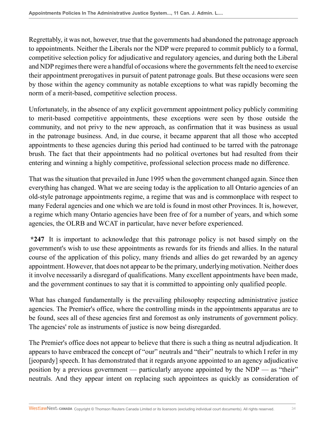Regrettably, it was not, however, true that the governments had abandoned the patronage approach to appointments. Neither the Liberals nor the NDP were prepared to commit publicly to a formal, competitive selection policy for adjudicative and regulatory agencies, and during both the Liberal and NDP regimes there were a handful of occasions where the governments felt the need to exercise their appointment prerogatives in pursuit of patent patronage goals. But these occasions were seen by those within the agency community as notable exceptions to what was rapidly becoming the norm of a merit-based, competitive selection process.

Unfortunately, in the absence of any explicit government appointment policy publicly commiting to merit-based competitive appointments, these exceptions were seen by those outside the community, and not privy to the new approach, as confirmation that it was business as usual in the patronage business. And, in due course, it became apparent that all those who accepted appointments to these agencies during this period had continued to be tarred with the patronage brush. The fact that their appointments had no political overtones but had resulted from their entering and winning a highly competitive, professional selection process made no difference.

That was the situation that prevailed in June 1995 when the government changed again. Since then everything has changed. What we are seeing today is the application to all Ontario agencies of an old-style patronage appointments regime, a regime that was and is commonplace with respect to many Federal agencies and one which we are told is found in most other Provinces. It is, however, a regime which many Ontario agencies have been free of for a number of years, and which some agencies, the OLRB and WCAT in particular, have never before experienced.

**\*247** It is important to acknowledge that this patronage policy is not based simply on the government's wish to use these appointments as rewards for its friends and allies. In the natural course of the application of this policy, many friends and allies do get rewarded by an agency appointment. However, that does not appear to be the primary, underlying motivation. Neither does it involve necessarily a disregard of qualifications. Many excellent appointments have been made, and the government continues to say that it is committed to appointing only qualified people.

What has changed fundamentally is the prevailing philosophy respecting administrative justice agencies. The Premier's office, where the controlling minds in the appointments apparatus are to be found, sees all of these agencies first and foremost as only instruments of government policy. The agencies' role as instruments of justice is now being disregarded.

The Premier's office does not appear to believe that there is such a thing as neutral adjudication. It appears to have embraced the concept of "our" neutrals and "their" neutrals to which I refer in my [jeopardy] speech. It has demonstrated that it regards anyone appointed to an agency adjudicative position by a previous government — particularly anyone appointed by the  $NDP$  — as "their" neutrals. And they appear intent on replacing such appointees as quickly as consideration of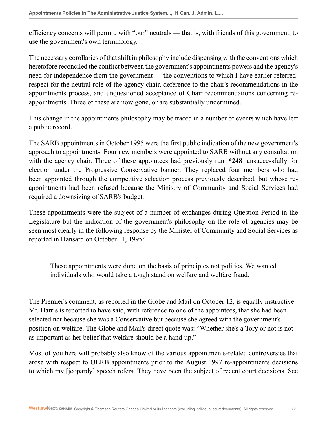efficiency concerns will permit, with "our" neutrals — that is, with friends of this government, to use the government's own terminology.

The necessary corollaries of that shift in philosophy include dispensing with the conventions which heretofore reconciled the conflict between the government's appointments powers and the agency's need for independence from the government — the conventions to which I have earlier referred: respect for the neutral role of the agency chair, deference to the chair's recommendations in the appointments process, and unquestioned acceptance of Chair recommendations concerning reappointments. Three of these are now gone, or are substantially undermined.

This change in the appointments philosophy may be traced in a number of events which have left a public record.

The SARB appointments in October 1995 were the first public indication of the new government's approach to appointments. Four new members were appointed to SARB without any consultation with the agency chair. Three of these appointees had previously run **\*248** unsuccessfully for election under the Progressive Conservative banner. They replaced four members who had been appointed through the competitive selection process previously described, but whose reappointments had been refused because the Ministry of Community and Social Services had required a downsizing of SARB's budget.

These appointments were the subject of a number of exchanges during Question Period in the Legislature but the indication of the government's philosophy on the role of agencies may be seen most clearly in the following response by the Minister of Community and Social Services as reported in Hansard on October 11, 1995:

These appointments were done on the basis of principles not politics. We wanted individuals who would take a tough stand on welfare and welfare fraud.

The Premier's comment, as reported in the Globe and Mail on October 12, is equally instructive. Mr. Harris is reported to have said, with reference to one of the appointees, that she had been selected not because she was a Conservative but because she agreed with the government's position on welfare. The Globe and Mail's direct quote was: "Whether she's a Tory or not is not as important as her belief that welfare should be a hand-up."

Most of you here will probably also know of the various appointments-related controversies that arose with respect to OLRB appointments prior to the August 1997 re-appointments decisions to which my [jeopardy] speech refers. They have been the subject of recent court decisions. See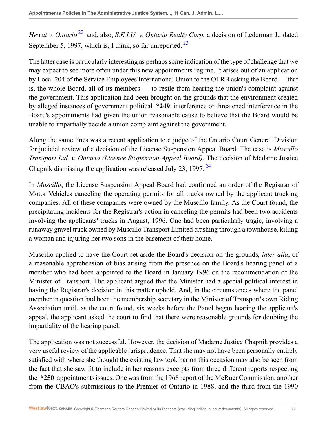<span id="page-35-1"></span><span id="page-35-0"></span>*Hewat v. Ontario*<sup>[22](#page-46-6)</sup> and, also, *S.E.I.U. v. Ontario Realty Corp.* a decision of Lederman J., dated September 5, 1997, which is, I think, so far unreported.<sup>[23](#page-46-7)</sup>

The latter case is particularly interesting as perhaps some indication of the type of challenge that we may expect to see more often under this new appointments regime. It arises out of an application by Local 204 of the Service Employees International Union to the OLRB asking the Board — that is, the whole Board, all of its members — to resile from hearing the union's complaint against the government. This application had been brought on the grounds that the environment created by alleged instances of government political **\*249** interference or threatened interference in the Board's appointments had given the union reasonable cause to believe that the Board would be unable to impartially decide a union complaint against the government.

Along the same lines was a recent application to a judge of the Ontario Court General Division for judicial review of a decision of the License Suspension Appeal Board. The case is *Muscillo Transport Ltd. v. Ontario (Licence Suspension Appeal Board)*. The decision of Madame Justice Chapnik dismissing the application was released July 23, 1997.<sup>[24](#page-46-8)</sup>

<span id="page-35-2"></span>In *Muscillo*, the License Suspension Appeal Board had confirmed an order of the Registrar of Motor Vehicles canceling the operating permits for all trucks owned by the applicant trucking companies. All of these companies were owned by the Muscillo family. As the Court found, the precipitating incidents for the Registrar's action in canceling the permits had been two accidents involving the applicants' trucks in August, 1996. One had been particularly tragic, involving a runaway gravel truck owned by Muscillo Transport Limited crashing through a townhouse, killing a woman and injuring her two sons in the basement of their home.

Muscillo applied to have the Court set aside the Board's decision on the grounds, *inter alia*, of a reasonable apprehension of bias arising from the presence on the Board's hearing panel of a member who had been appointed to the Board in January 1996 on the recommendation of the Minister of Transport. The applicant argued that the Minister had a special political interest in having the Registrar's decision in this matter upheld. And, in the circumstances where the panel member in question had been the membership secretary in the Minister of Transport's own Riding Association until, as the court found, six weeks before the Panel began hearing the applicant's appeal, the applicant asked the court to find that there were reasonable grounds for doubting the impartiality of the hearing panel.

The application was not successful. However, the decision of Madame Justice Chapnik provides a very useful review of the applicable jurisprudence. That she may not have been personally entirely satisfied with where she thought the existing law took her on this occasion may also be seen from the fact that she saw fit to include in her reasons excerpts from three different reports respecting the **\*250** appointments issues. One was from the 1968 report of the McRuer Commission, another from the CBAO's submissions to the Premier of Ontario in 1988, and the third from the 1990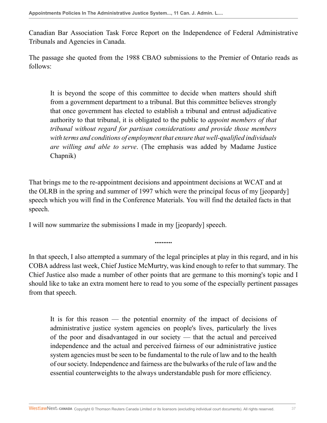Canadian Bar Association Task Force Report on the Independence of Federal Administrative Tribunals and Agencies in Canada.

The passage she quoted from the 1988 CBAO submissions to the Premier of Ontario reads as follows:

It is beyond the scope of this committee to decide when matters should shift from a government department to a tribunal. But this committee believes strongly that once government has elected to establish a tribunal and entrust adjudicative authority to that tribunal, it is obligated to the public to *appoint members of that tribunal without regard for partisan considerations and provide those members with terms and conditions of employment that ensure that well-qualified individuals are willing and able to serve*. (The emphasis was added by Madame Justice Chapnik)

That brings me to the re-appointment decisions and appointment decisions at WCAT and at the OLRB in the spring and summer of 1997 which were the principal focus of my [jeopardy] speech which you will find in the Conference Materials. You will find the detailed facts in that speech.

I will now summarize the submissions I made in my [jeopardy] speech.

In that speech, I also attempted a summary of the legal principles at play in this regard, and in his COBA address last week, Chief Justice McMurtry, was kind enough to refer to that summary. The Chief Justice also made a number of other points that are germane to this morning's topic and I should like to take an extra moment here to read to you some of the especially pertinent passages from that speech.

**..........**

It is for this reason — the potential enormity of the impact of decisions of administrative justice system agencies on people's lives, particularly the lives of the poor and disadvantaged in our society — that the actual and perceived independence and the actual and perceived fairness of our administrative justice system agencies must be seen to be fundamental to the rule of law and to the health of our society. Independence and fairness are the bulwarks of the rule of law and the essential counterweights to the always understandable push for more efficiency.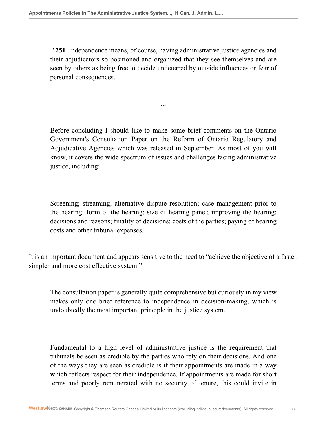**\*251** Independence means, of course, having administrative justice agencies and their adjudicators so positioned and organized that they see themselves and are seen by others as being free to decide undeterred by outside influences or fear of personal consequences.

**...**

Before concluding I should like to make some brief comments on the Ontario Government's Consultation Paper on the Reform of Ontario Regulatory and Adjudicative Agencies which was released in September. As most of you will know, it covers the wide spectrum of issues and challenges facing administrative justice, including:

Screening; streaming; alternative dispute resolution; case management prior to the hearing; form of the hearing; size of hearing panel; improving the hearing; decisions and reasons; finality of decisions; costs of the parties; paying of hearing costs and other tribunal expenses.

It is an important document and appears sensitive to the need to "achieve the objective of a faster, simpler and more cost effective system."

The consultation paper is generally quite comprehensive but curiously in my view makes only one brief reference to independence in decision-making, which is undoubtedly the most important principle in the justice system.

Fundamental to a high level of administrative justice is the requirement that tribunals be seen as credible by the parties who rely on their decisions. And one of the ways they are seen as credible is if their appointments are made in a way which reflects respect for their independence. If appointments are made for short terms and poorly remunerated with no security of tenure, this could invite in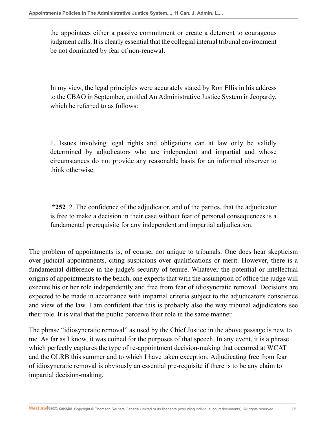the appointees either a passive commitment or create a deterrent to courageous judgment calls. It is clearly essential that the collegial internal tribunal environment be not dominated by fear of non-renewal.

In my view, the legal principles were accurately stated by Ron Ellis in his address to the CBAO in September, entitled An Administrative Justice System in Jeopardy, which he referred to as follows:

1. Issues involving legal rights and obligations can at law only be validly determined by adjudicators who are independent and impartial and whose circumstances do not provide any reasonable basis for an informed observer to think otherwise.

**\*252** 2. The confidence of the adjudicator, and of the parties, that the adjudicator is free to make a decision in their case without fear of personal consequences is a fundamental prerequisite for any independent and impartial adjudication.

The problem of appointments is, of course, not unique to tribunals. One does hear skepticism over judicial appointments, citing suspicions over qualifications or merit. However, there is a fundamental difference in the judge's security of tenure. Whatever the potential or intellectual origins of appointments to the bench, one expects that with the assumption of office the judge will execute his or her role independently and free from fear of idiosyncratic removal. Decisions are expected to be made in accordance with impartial criteria subject to the adjudicator's conscience and view of the law. I am confident that this is probably also the way tribunal adjudicators see their role. It is vital that the public perceive their role in the same manner.

The phrase "idiosyncratic removal" as used by the Chief Justice in the above passage is new to me. As far as I know, it was coined for the purposes of that speech. In any event, it is a phrase which perfectly captures the type of re-appointment decision-making that occurred at WCAT and the OLRB this summer and to which I have taken exception. Adjudicating free from fear of idiosyncratic removal is obviously an essential pre-requisite if there is to be any claim to impartial decision-making.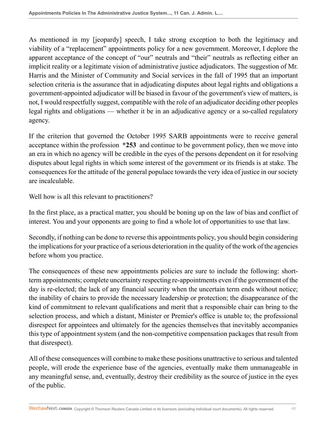As mentioned in my [jeopardy] speech, I take strong exception to both the legitimacy and viability of a "replacement" appointments policy for a new government. Moreover, I deplore the apparent acceptance of the concept of "our" neutrals and "their" neutrals as reflecting either an implicit reality or a legitimate vision of administrative justice adjudicators. The suggestion of Mr. Harris and the Minister of Community and Social services in the fall of 1995 that an important selection criteria is the assurance that in adjudicating disputes about legal rights and obligations a government-appointed adjudicator will be biased in favour of the government's view of matters, is not, I would respectfully suggest, compatible with the role of an adjudicator deciding other peoples legal rights and obligations — whether it be in an adjudicative agency or a so-called regulatory agency.

If the criterion that governed the October 1995 SARB appointments were to receive general acceptance within the profession **\*253** and continue to be government policy, then we move into an era in which no agency will be credible in the eyes of the persons dependent on it for resolving disputes about legal rights in which some interest of the government or its friends is at stake. The consequences for the attitude of the general populace towards the very idea of justice in our society are incalculable.

Well how is all this relevant to practitioners?

In the first place, as a practical matter, you should be boning up on the law of bias and conflict of interest. You and your opponents are going to find a whole lot of opportunities to use that law.

Secondly, if nothing can be done to reverse this appointments policy, you should begin considering the implications for your practice of a serious deterioration in the quality of the work of the agencies before whom you practice.

The consequences of these new appointments policies are sure to include the following: shortterm appointments; complete uncertainty respecting re-appointments even if the government of the day is re-elected; the lack of any financial security when the uncertain term ends without notice; the inability of chairs to provide the necessary leadership or protection; the disappearance of the kind of commitment to relevant qualifications and merit that a responsible chair can bring to the selection process, and which a distant, Minister or Premier's office is unable to; the professional disrespect for appointees and ultimately for the agencies themselves that inevitably accompanies this type of appointment system (and the non-competitive compensation packages that result from that disrespect).

All of these consequences will combine to make these positions unattractive to serious and talented people, will erode the experience base of the agencies, eventually make them unmanageable in any meaningful sense, and, eventually, destroy their credibility as the source of justice in the eyes of the public.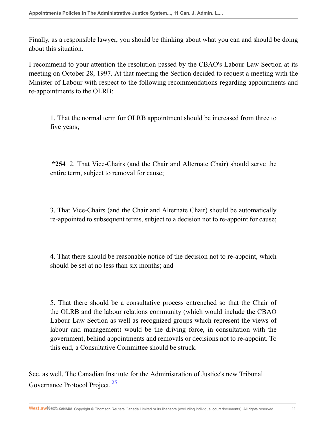Finally, as a responsible lawyer, you should be thinking about what you can and should be doing about this situation.

I recommend to your attention the resolution passed by the CBAO's Labour Law Section at its meeting on October 28, 1997. At that meeting the Section decided to request a meeting with the Minister of Labour with respect to the following recommendations regarding appointments and re-appointments to the OLRB:

1. That the normal term for OLRB appointment should be increased from three to five years;

**\*254** 2. That Vice-Chairs (and the Chair and Alternate Chair) should serve the entire term, subject to removal for cause;

3. That Vice-Chairs (and the Chair and Alternate Chair) should be automatically re-appointed to subsequent terms, subject to a decision not to re-appoint for cause;

4. That there should be reasonable notice of the decision not to re-appoint, which should be set at no less than six months; and

5. That there should be a consultative process entrenched so that the Chair of the OLRB and the labour relations community (which would include the CBAO Labour Law Section as well as recognized groups which represent the views of labour and management) would be the driving force, in consultation with the government, behind appointments and removals or decisions not to re-appoint. To this end, a Consultative Committee should be struck.

<span id="page-40-0"></span>See, as well, The Canadian Institute for the Administration of Justice's new Tribunal Governance Protocol Project. [25](#page-46-9)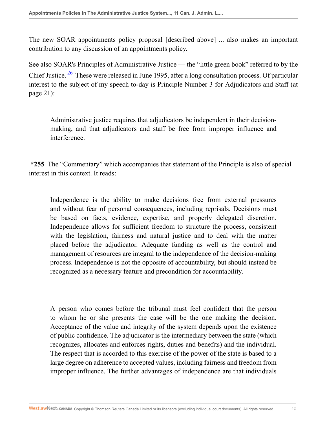The new SOAR appointments policy proposal [described above] ... also makes an important contribution to any discussion of an appointments policy.

<span id="page-41-0"></span>See also SOAR's Principles of Administrative Justice — the "little green book" referred to by the Chief Justice.  $26$  These were released in June 1995, after a long consultation process. Of particular interest to the subject of my speech to-day is Principle Number 3 for Adjudicators and Staff (at page 21):

Administrative justice requires that adjudicators be independent in their decisionmaking, and that adjudicators and staff be free from improper influence and interference.

**\*255** The "Commentary" which accompanies that statement of the Principle is also of special interest in this context. It reads:

Independence is the ability to make decisions free from external pressures and without fear of personal consequences, including reprisals. Decisions must be based on facts, evidence, expertise, and properly delegated discretion. Independence allows for sufficient freedom to structure the process, consistent with the legislation, fairness and natural justice and to deal with the matter placed before the adjudicator. Adequate funding as well as the control and management of resources are integral to the independence of the decision-making process. Independence is not the opposite of accountability, but should instead be recognized as a necessary feature and precondition for accountability.

A person who comes before the tribunal must feel confident that the person to whom he or she presents the case will be the one making the decision. Acceptance of the value and integrity of the system depends upon the existence of public confidence. The adjudicator is the intermediary between the state (which recognizes, allocates and enforces rights, duties and benefits) and the individual. The respect that is accorded to this exercise of the power of the state is based to a large degree on adherence to accepted values, including fairness and freedom from improper influence. The further advantages of independence are that individuals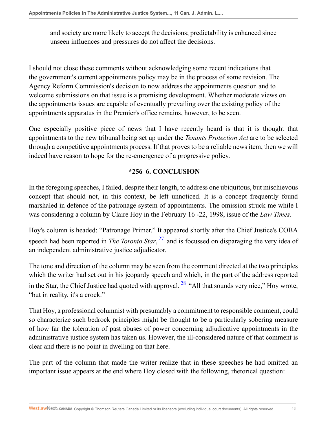and society are more likely to accept the decisions; predictability is enhanced since unseen influences and pressures do not affect the decisions.

I should not close these comments without acknowledging some recent indications that the government's current appointments policy may be in the process of some revision. The Agency Reform Commission's decision to now address the appointments question and to welcome submissions on that issue is a promising development. Whether moderate views on the appointments issues are capable of eventually prevailing over the existing policy of the appointments apparatus in the Premier's office remains, however, to be seen.

One especially positive piece of news that I have recently heard is that it is thought that appointments to the new tribunal being set up under the *Tenants Protection Act* are to be selected through a competitive appointments process. If that proves to be a reliable news item, then we will indeed have reason to hope for the re-emergence of a progressive policy.

#### <span id="page-42-1"></span><span id="page-42-0"></span>**\*256 6. CONCLUSION**

In the foregoing speeches, I failed, despite their length, to address one ubiquitous, but mischievous concept that should not, in this context, be left unnoticed. It is a concept frequently found marshaled in defence of the patronage system of appointments. The omission struck me while I was considering a column by Claire Hoy in the February 16 -22, 1998, issue of the *Law Times*.

Hoy's column is headed: "Patronage Primer." It appeared shortly after the Chief Justice's COBA speech had been reported in *The Toronto Star*, [27](#page-46-11) and is focussed on disparaging the very idea of an independent administrative justice adjudicator.

The tone and direction of the column may be seen from the comment directed at the two principles which the writer had set out in his jeopardy speech and which, in the part of the address reported in the Star, the Chief Justice had quoted with approval.  $28$  "All that sounds very nice," Hoy wrote, "but in reality, it's a crock."

That Hoy, a professional columnist with presumably a commitment to responsible comment, could so characterize such bedrock principles might be thought to be a particularly sobering measure of how far the toleration of past abuses of power concerning adjudicative appointments in the administrative justice system has taken us. However, the ill-considered nature of that comment is clear and there is no point in dwelling on that here.

The part of the column that made the writer realize that in these speeches he had omitted an important issue appears at the end where Hoy closed with the following, rhetorical question: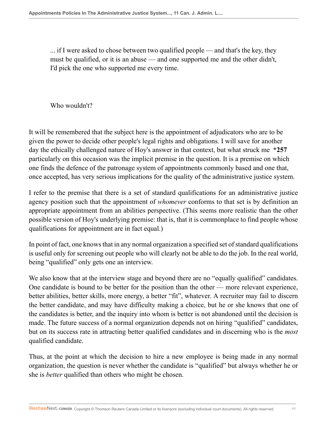... if I were asked to chose between two qualified people — and that's the key, they must be qualified, or it is an abuse — and one supported me and the other didn't, I'd pick the one who supported me every time.

Who wouldn't?

It will be remembered that the subject here is the appointment of adjudicators who are to be given the power to decide other people's legal rights and obligations. I will save for another day the ethically challenged nature of Hoy's answer in that context, but what struck me **\*257** particularly on this occasion was the implicit premise in the question. It is a premise on which one finds the defence of the patronage system of appointments commonly based and one that, once accepted, has very serious implications for the quality of the administrative justice system.

I refer to the premise that there is a set of standard qualifications for an administrative justice agency position such that the appointment of *whomever* conforms to that set is by definition an appropriate appointment from an abilities perspective. (This seems more realistic than the other possible version of Hoy's underlying premise: that is, that it is commonplace to find people whose qualifications for appointment are in fact equal.)

In point of fact, one knows that in any normal organization a specified set of standard qualifications is useful only for screening out people who will clearly not be able to do the job. In the real world, being "qualified" only gets one an interview.

We also know that at the interview stage and beyond there are no "equally qualified" candidates. One candidate is bound to be better for the position than the other — more relevant experience, better abilities, better skills, more energy, a better "fit", whatever. A recruiter may fail to discern the better candidate, and may have difficulty making a choice, but he or she knows that one of the candidates is better, and the inquiry into whom is better is not abandoned until the decision is made. The future success of a normal organization depends not on hiring "qualified" candidates, but on its success rate in attracting better qualified candidates and in discerning who is the *most* qualified candidate.

Thus, at the point at which the decision to hire a new employee is being made in any normal organization, the question is never whether the candidate is "qualified" but always whether he or she is *better* qualified than others who might be chosen.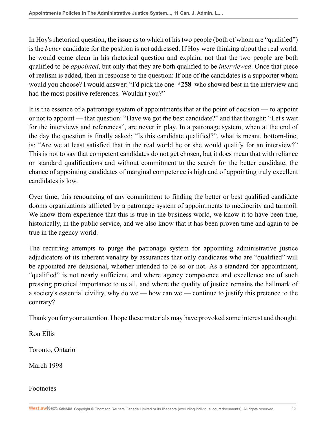In Hoy's rhetorical question, the issue as to which of his two people (both of whom are "qualified") is the *better* candidate for the position is not addressed. If Hoy were thinking about the real world, he would come clean in his rhetorical question and explain, not that the two people are both qualified to be *appointed*, but only that they are both qualified to be *interviewed*. Once that piece of realism is added, then in response to the question: If one of the candidates is a supporter whom would you choose? I would answer: "I'd pick the one **\*258** who showed best in the interview and had the most positive references. Wouldn't you?"

It is the essence of a patronage system of appointments that at the point of decision — to appoint or not to appoint — that question: "Have we got the best candidate?" and that thought: "Let's wait for the interviews and references", are never in play. In a patronage system, when at the end of the day the question is finally asked: "Is this candidate qualified?", what is meant, bottom-line, is: "Are we at least satisfied that in the real world he or she would qualify for an interview?" This is not to say that competent candidates do not get chosen, but it does mean that with reliance on standard qualifications and without commitment to the search for the better candidate, the chance of appointing candidates of marginal competence is high and of appointing truly excellent candidates is low.

Over time, this renouncing of any commitment to finding the better or best qualified candidate dooms organizations afflicted by a patronage system of appointments to mediocrity and turmoil. We know from experience that this is true in the business world, we know it to have been true, historically, in the public service, and we also know that it has been proven time and again to be true in the agency world.

The recurring attempts to purge the patronage system for appointing administrative justice adjudicators of its inherent venality by assurances that only candidates who are "qualified" will be appointed are delusional, whether intended to be so or not. As a standard for appointment, "qualified" is not nearly sufficient, and where agency competence and excellence are of such pressing practical importance to us all, and where the quality of justice remains the hallmark of a society's essential civility, why do we — how can we — continue to justify this pretence to the contrary?

Thank you for your attention. I hope these materials may have provoked some interest and thought.

Ron Ellis

Toronto, Ontario

March 1998

Footnotes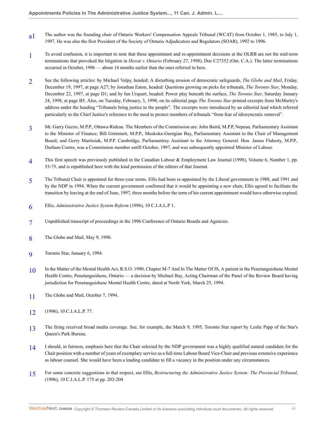- <span id="page-45-0"></span>[a1](#page-0-0) The author was the founding chair of Ontario Workers' Compensation Appeals Tribunal (WCAT) from October 1, 1985, to July 1, 1997. He was also the first President of the Society of Ontario Adjudicators and Regulators (SOAR), 1992 to 1996.
- <span id="page-45-1"></span>[1](#page-0-1) To avoid confusion, it is important to note that these appointment and re-appointment decisions at the OLRB are not the mid-term terminations that provoked the litigation in *Hewat v. Ontario* (February 27, 1998), Doc C27352 (Ont. C.A.). The latter terminations occurred in October, 1996 — about 14 months earlier than the ones referred to here.
- <span id="page-45-2"></span>[2](#page-1-0) See the following articles: by Michael Valpy, headed: A disturbing erosion of democratic safeguards, *The Globe and Mail*, Friday, December 19, 1997, at page A27; by Jonathan Eaton, headed: Questions growing on picks for tribunals, *The Toronto Star*, Monday, December 22, 1997, at page D1; and by Ian Urquart, headed: Power play beneath the surface, *The Toronto Star*, Saturday January 24, 1998, at page B5. Also, on Tuesday, February, 3, 1998, on its editorial page *The Toronto Star* printed excerpts from McMurtry's address under the heading "Tribunals bring justice to the people". The excerpts were introduced by an editorial lead which referred particularly to the Chief Justice's reference to the need to protect members of tribunals "from fear of idiosyncratic removal".
- <span id="page-45-3"></span>[3](#page-1-1) Mr. Garry Guzzo, M.P.P., Ottawa-Rideau. The Members of the Commission are: John Baird, M.P.P, Nepean, Parliamentary Assistant to the Minister of Finance; Bill Grimmett, M.P.P., Muskoka-Georgian Bay, Parliamentary Assistant to the Chair of Management Board; and Gerry Martiniuk, M.P.P. Cambridge, Parliamentray Assistant to the Attorney General. Hon. James Flaherty, M.P.P., Durham Centre, was a Commission member untill October, 1997, and was subsequently appointed Minister of Labour.
- <span id="page-45-4"></span>[4](#page-1-2) This first speech was previously published in the Canadian Labour & Employment Law Journal (1998), Volume 6, Number 1, pp. 53-75, and is republished here with the kind permission of the editors of that Journal.
- <span id="page-45-5"></span>[5](#page-2-0) The Tribunal Chair is appointed for three-year terms. Ellis had been re-appointed by the Liberal government in 1988, and 1991 and by the NDP in 1994. When the current government confirmed that it would be appointing a new chair, Ellis agreed to facilitate the transition by leaving at the end of June, 1997, three months before the term of his current appointment would have otherwise expired.
- <span id="page-45-6"></span>[6](#page-7-0) Ellis, *Administrative Justice System Reform* (1996), 10 C.J.A.L.P 1.
- <span id="page-45-7"></span>[7](#page-10-0) Unpublished transcript of proceedings in the 1996 Conference of Ontario Boards and Agencies.
- <span id="page-45-8"></span>[8](#page-11-0) The Globe and Mail, May 9, 1990.
- <span id="page-45-9"></span> $\overline{Q}$ Toronto Star, January 6, 1994.
- <span id="page-45-10"></span>[10](#page-11-2) In the Matter of the Mental Health Act, R.S.O. 1990, Chapter M-7 And In The Matter Of JS, A patient in the Penetanguishene Mental Health Centre, Penetanguishene, Ontario — a decision by Michael Bay, Acting Chairman of the Panel of the Review Board having jurisdiction for Penetanguishene Mental Health Centre, dated at North York, March 25, 1994.
- <span id="page-45-11"></span>[11](#page-12-0) The Globe and Mail, October 7, 1994.
- <span id="page-45-12"></span>[12](#page-12-1) (1996), 10 C.J.A.L.P. 77.
- <span id="page-45-13"></span>[13](#page-14-0) The firing received broad media coverage. See, for example, the March 9, 1995, Toronto Star report by Leslie Papp of the Star's Queen's Park Bureau.
- <span id="page-45-14"></span>[14](#page-16-0) I should, in fairness, emphasis here that the Chair selected by the NDP government was a highly qualified natural candidate for the Chair position with a number of years of exemplary service as a full-time Labour Board Vice-Chair and previous extensive experience as labour counsel. She would have been a leading candidate to fill a vacancy in the position under any circumstances.
- <span id="page-45-15"></span>[15](#page-22-0) For some concrete suggestions in that respect, see Ellis, *Restructuring the Administrative Justice System: The Provincial Tribunal*, (1996), 10 C.J.A.L.P. 175 at pp. 203-204